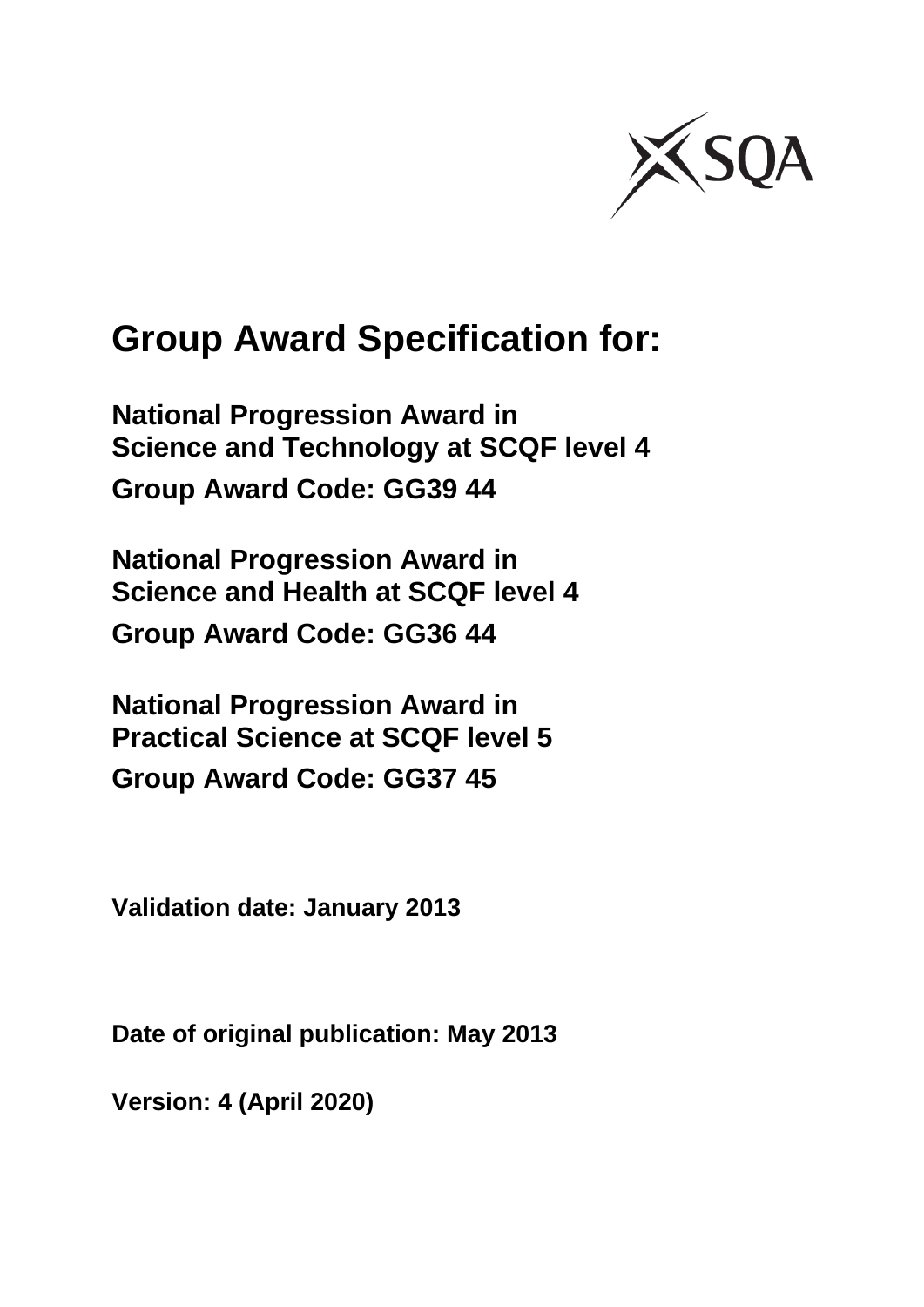

# **Group Award Specification for:**

**National Progression Award in Science and Technology at SCQF level 4 Group Award Code: GG39 44**

**National Progression Award in Science and Health at SCQF level 4 Group Award Code: GG36 44**

**National Progression Award in Practical Science at SCQF level 5 Group Award Code: GG37 45**

**Validation date: January 2013**

**Date of original publication: May 2013**

**Version: 4 (April 2020)**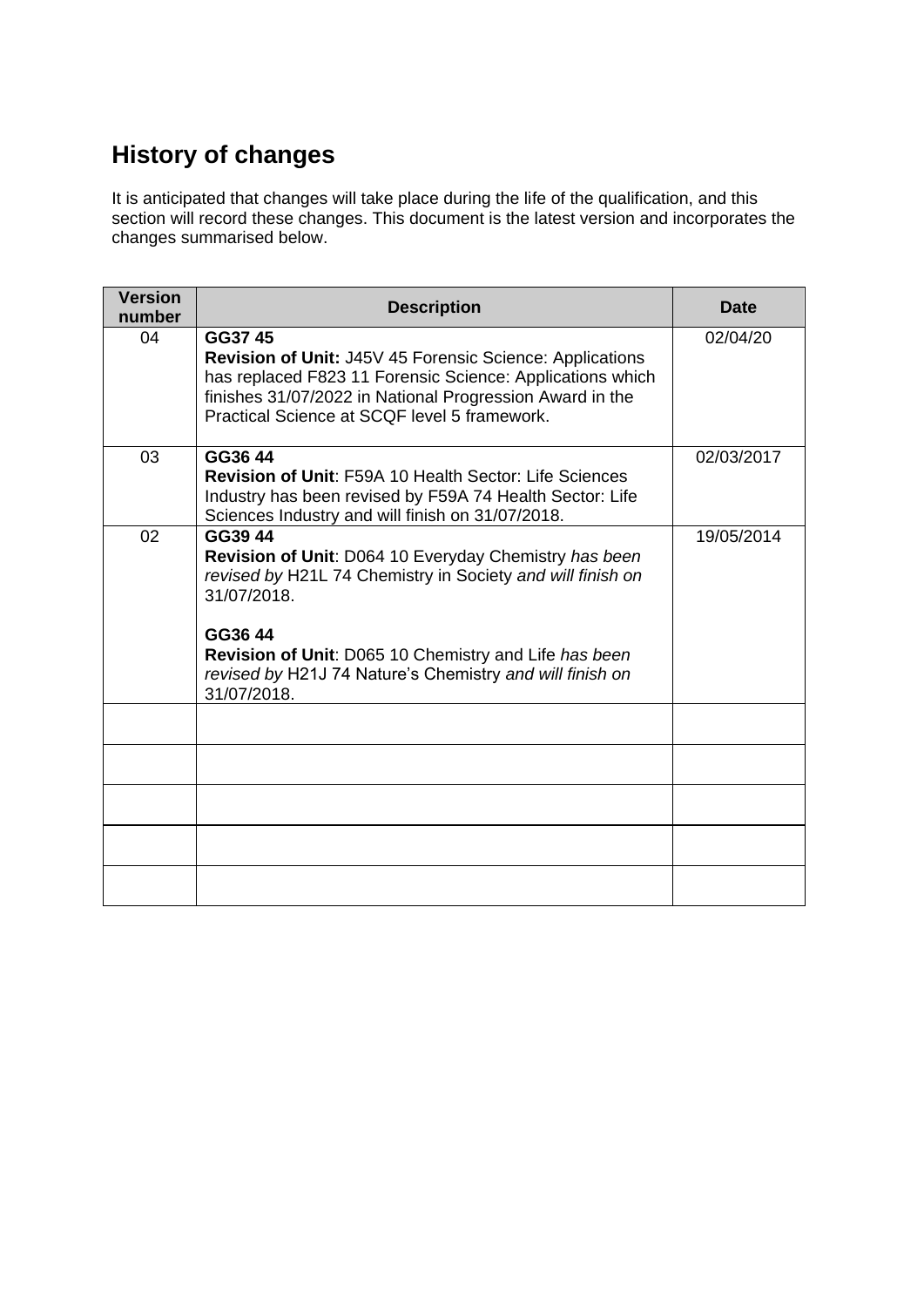# **History of changes**

It is anticipated that changes will take place during the life of the qualification, and this section will record these changes. This document is the latest version and incorporates the changes summarised below.

| <b>Version</b><br>number | <b>Description</b>                                                                                                                                                                                                                                                                           | <b>Date</b> |
|--------------------------|----------------------------------------------------------------------------------------------------------------------------------------------------------------------------------------------------------------------------------------------------------------------------------------------|-------------|
| 04                       | GG37 45<br><b>Revision of Unit: J45V 45 Forensic Science: Applications</b><br>has replaced F823 11 Forensic Science: Applications which<br>finishes 31/07/2022 in National Progression Award in the<br>Practical Science at SCQF level 5 framework.                                          | 02/04/20    |
| 03                       | GG36 44<br><b>Revision of Unit: F59A 10 Health Sector: Life Sciences</b><br>Industry has been revised by F59A 74 Health Sector: Life<br>Sciences Industry and will finish on 31/07/2018.                                                                                                     | 02/03/2017  |
| 02                       | GG39 44<br>Revision of Unit: D064 10 Everyday Chemistry has been<br>revised by H21L 74 Chemistry in Society and will finish on<br>31/07/2018.<br>GG36 44<br>Revision of Unit: D065 10 Chemistry and Life has been<br>revised by H21J 74 Nature's Chemistry and will finish on<br>31/07/2018. | 19/05/2014  |
|                          |                                                                                                                                                                                                                                                                                              |             |
|                          |                                                                                                                                                                                                                                                                                              |             |
|                          |                                                                                                                                                                                                                                                                                              |             |
|                          |                                                                                                                                                                                                                                                                                              |             |
|                          |                                                                                                                                                                                                                                                                                              |             |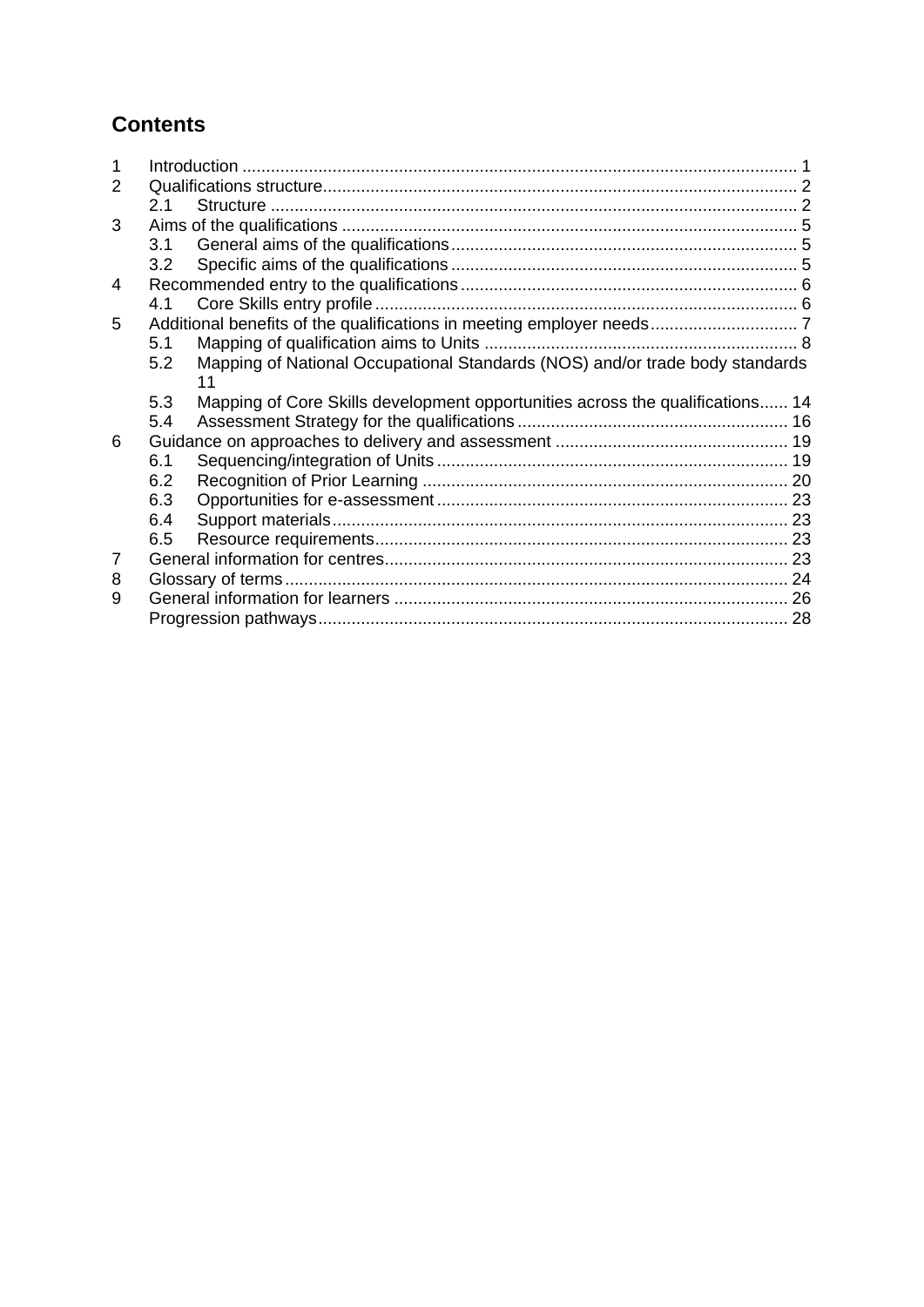# **Contents**

| 2 |     |                                                                                    |  |
|---|-----|------------------------------------------------------------------------------------|--|
|   | 2.1 |                                                                                    |  |
| 3 |     |                                                                                    |  |
|   | 3.1 |                                                                                    |  |
|   | 3.2 |                                                                                    |  |
| 4 |     |                                                                                    |  |
|   | 4.1 |                                                                                    |  |
| 5 |     |                                                                                    |  |
|   | 5.1 |                                                                                    |  |
|   | 5.2 | Mapping of National Occupational Standards (NOS) and/or trade body standards<br>11 |  |
|   | 5.3 | Mapping of Core Skills development opportunities across the qualifications 14      |  |
|   | 5.4 |                                                                                    |  |
| 6 |     |                                                                                    |  |
|   | 6.1 |                                                                                    |  |
|   | 6.2 |                                                                                    |  |
|   | 6.3 |                                                                                    |  |
|   | 6.4 |                                                                                    |  |
|   | 6.5 |                                                                                    |  |
| 7 |     |                                                                                    |  |
| 8 |     |                                                                                    |  |
| 9 |     |                                                                                    |  |
|   |     |                                                                                    |  |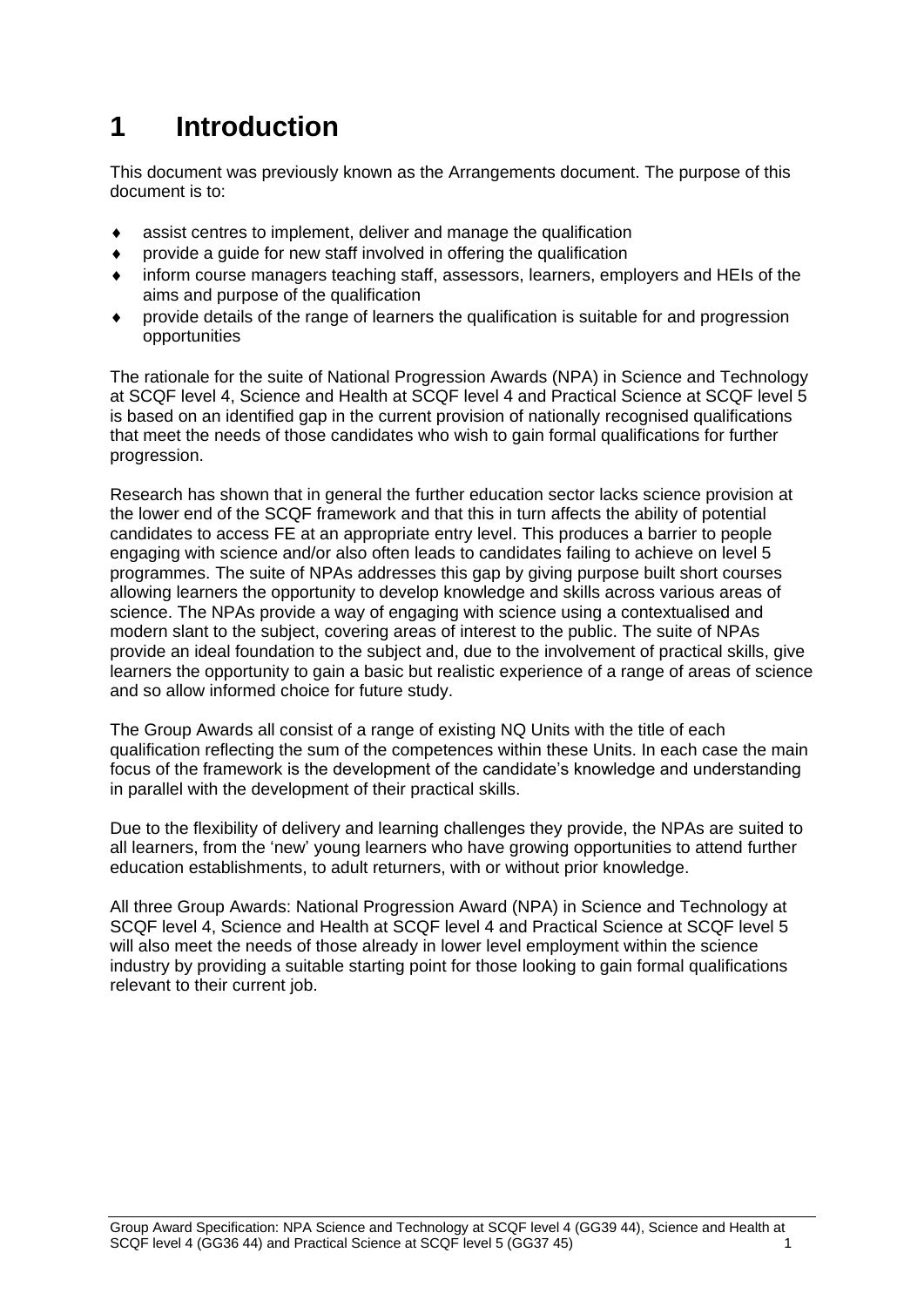# <span id="page-3-0"></span>**1 Introduction**

This document was previously known as the Arrangements document. The purpose of this document is to:

- assist centres to implement, deliver and manage the qualification
- provide a guide for new staff involved in offering the qualification
- inform course managers teaching staff, assessors, learners, employers and HEIs of the aims and purpose of the qualification
- provide details of the range of learners the qualification is suitable for and progression opportunities

The rationale for the suite of National Progression Awards (NPA) in Science and Technology at SCQF level 4, Science and Health at SCQF level 4 and Practical Science at SCQF level 5 is based on an identified gap in the current provision of nationally recognised qualifications that meet the needs of those candidates who wish to gain formal qualifications for further progression.

Research has shown that in general the further education sector lacks science provision at the lower end of the SCQF framework and that this in turn affects the ability of potential candidates to access FE at an appropriate entry level. This produces a barrier to people engaging with science and/or also often leads to candidates failing to achieve on level 5 programmes. The suite of NPAs addresses this gap by giving purpose built short courses allowing learners the opportunity to develop knowledge and skills across various areas of science. The NPAs provide a way of engaging with science using a contextualised and modern slant to the subject, covering areas of interest to the public. The suite of NPAs provide an ideal foundation to the subject and, due to the involvement of practical skills, give learners the opportunity to gain a basic but realistic experience of a range of areas of science and so allow informed choice for future study.

The Group Awards all consist of a range of existing NQ Units with the title of each qualification reflecting the sum of the competences within these Units. In each case the main focus of the framework is the development of the candidate's knowledge and understanding in parallel with the development of their practical skills.

Due to the flexibility of delivery and learning challenges they provide, the NPAs are suited to all learners, from the 'new' young learners who have growing opportunities to attend further education establishments, to adult returners, with or without prior knowledge.

All three Group Awards: National Progression Award (NPA) in Science and Technology at SCQF level 4, Science and Health at SCQF level 4 and Practical Science at SCQF level 5 will also meet the needs of those already in lower level employment within the science industry by providing a suitable starting point for those looking to gain formal qualifications relevant to their current job.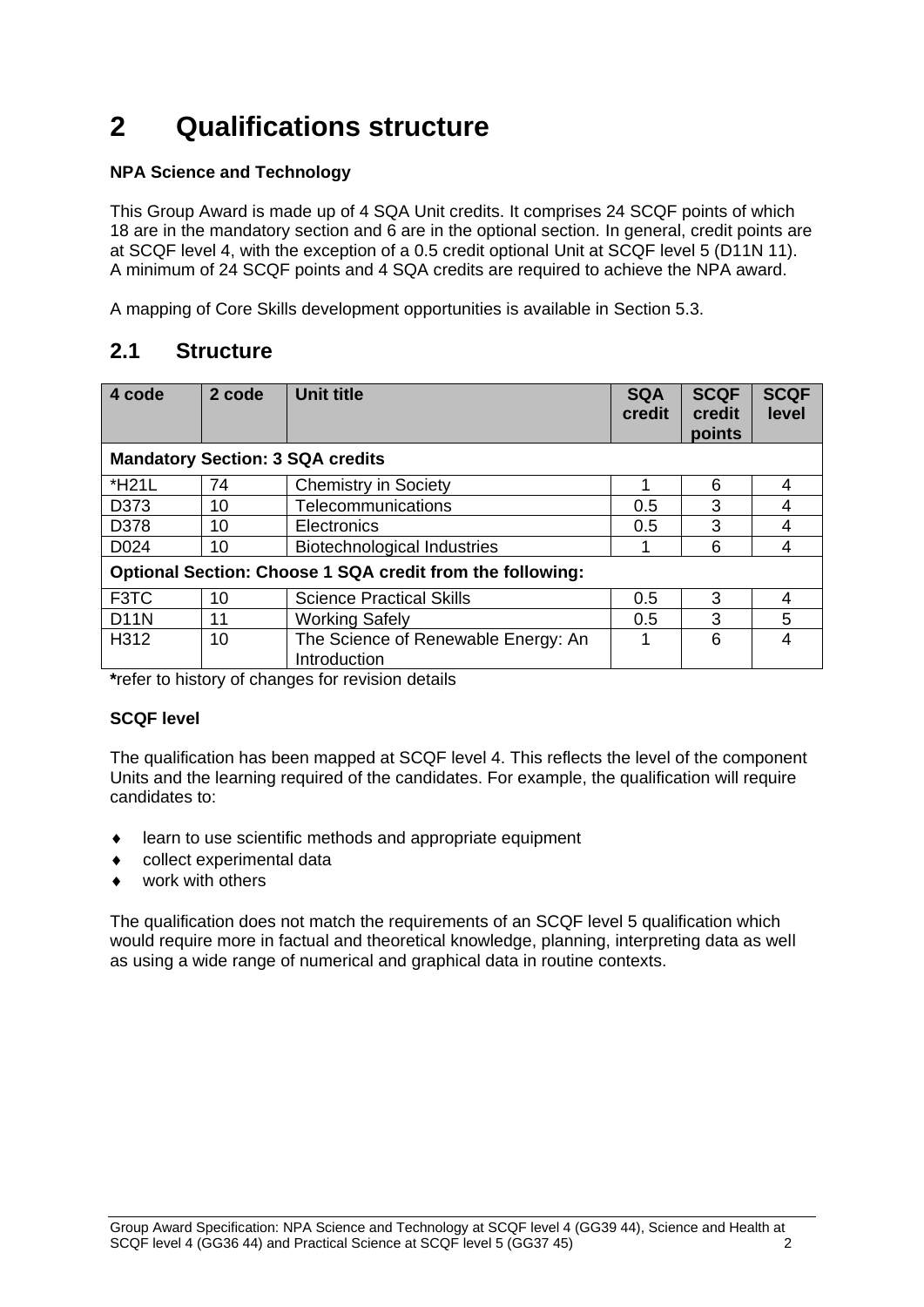# <span id="page-4-0"></span>**2 Qualifications structure**

### **NPA Science and Technology**

This Group Award is made up of 4 SQA Unit credits. It comprises 24 SCQF points of which 18 are in the mandatory section and 6 are in the optional section. In general, credit points are at SCQF level 4, with the exception of a 0.5 credit optional Unit at SCQF level 5 (D11N 11). A minimum of 24 SCQF points and 4 SQA credits are required to achieve the NPA award.

A mapping of Core Skills development opportunities is available in Section 5.3.

## <span id="page-4-1"></span>**2.1 Structure**

| 4 code                                  | 2 code | <b>Unit title</b>                                         | <b>SQA</b><br>credit | <b>SCQF</b><br>credit<br>points | <b>SCQF</b><br>level |
|-----------------------------------------|--------|-----------------------------------------------------------|----------------------|---------------------------------|----------------------|
| <b>Mandatory Section: 3 SQA credits</b> |        |                                                           |                      |                                 |                      |
| *H21L                                   | 74     | <b>Chemistry in Society</b>                               | 1                    | 6                               | 4                    |
| D373                                    | 10     | Telecommunications                                        | 0.5                  | 3                               | 4                    |
| D378                                    | 10     | Electronics                                               | 0.5                  | 3                               |                      |
| D <sub>024</sub>                        | 10     | <b>Biotechnological Industries</b>                        | 1                    | 6                               | 4                    |
|                                         |        | Optional Section: Choose 1 SQA credit from the following: |                      |                                 |                      |
| F <sub>3</sub> TC                       | 10     | <b>Science Practical Skills</b>                           | 0.5                  | 3                               | 4                    |
| <b>D11N</b>                             | 11     | <b>Working Safely</b>                                     | 0.5                  | 3                               | 5                    |
| H312                                    | 10     | The Science of Renewable Energy: An<br>Introduction       | 1                    | 6                               |                      |

**\***refer to history of changes for revision details

### **SCQF level**

The qualification has been mapped at SCQF level 4. This reflects the level of the component Units and the learning required of the candidates. For example, the qualification will require candidates to:

- learn to use scientific methods and appropriate equipment
- collect experimental data
- work with others

The qualification does not match the requirements of an SCQF level 5 qualification which would require more in factual and theoretical knowledge, planning, interpreting data as well as using a wide range of numerical and graphical data in routine contexts.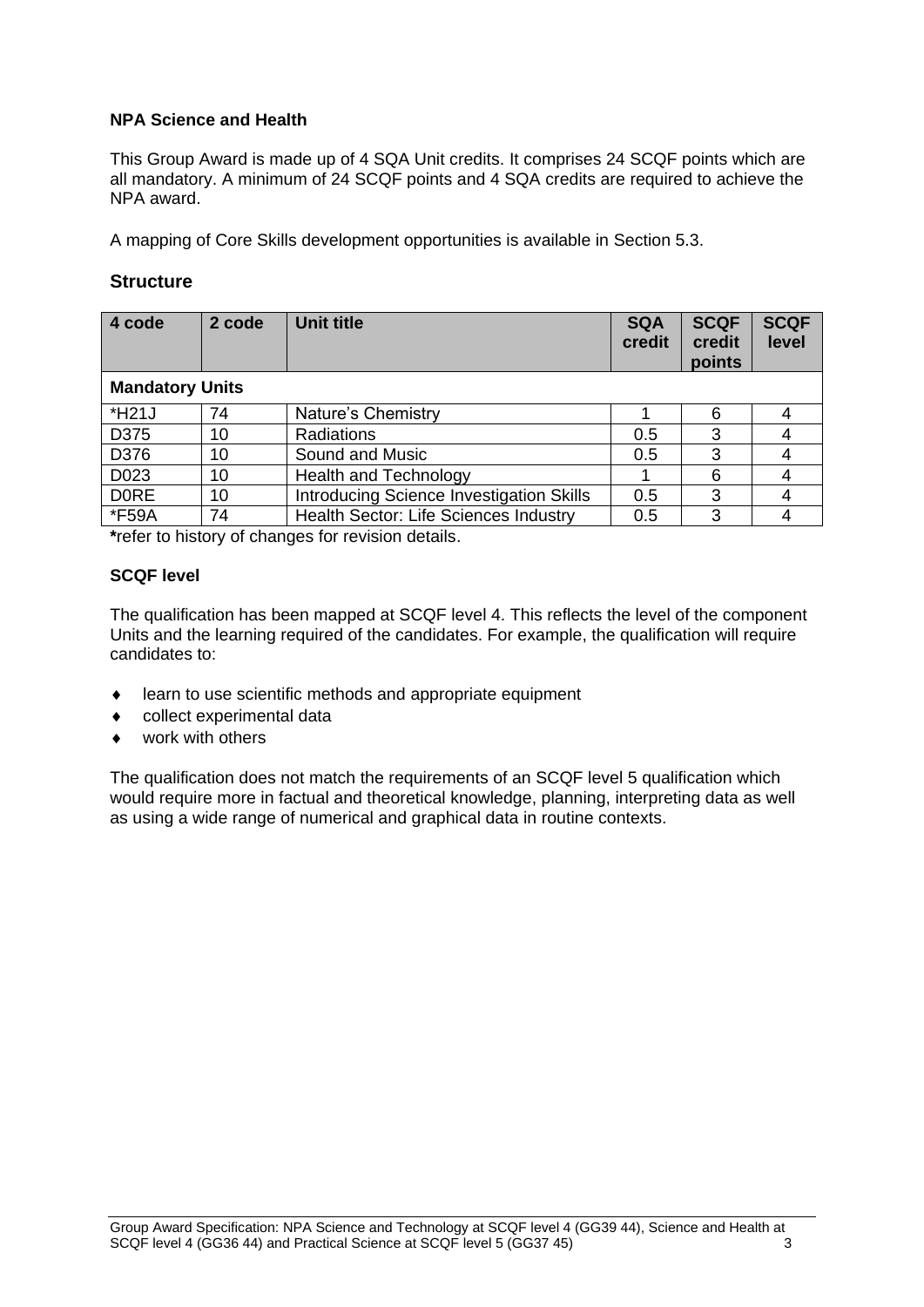### **NPA Science and Health**

This Group Award is made up of 4 SQA Unit credits. It comprises 24 SCQF points which are all mandatory. A minimum of 24 SCQF points and 4 SQA credits are required to achieve the NPA award.

A mapping of Core Skills development opportunities is available in Section 5.3.

### **Structure**

| 4 code                 | 2 code | <b>Unit title</b>                               | <b>SQA</b><br>credit | <b>SCQF</b><br>credit<br>points | <b>SCQF</b><br>level |
|------------------------|--------|-------------------------------------------------|----------------------|---------------------------------|----------------------|
| <b>Mandatory Units</b> |        |                                                 |                      |                                 |                      |
| *H21J                  | 74     | Nature's Chemistry                              |                      | 6                               |                      |
| D375                   | 10     | Radiations                                      | 0.5                  | 3                               |                      |
| D376                   | 10     | Sound and Music                                 | 0.5                  | 3                               |                      |
| D <sub>023</sub>       | 10     | <b>Health and Technology</b>                    |                      | 6                               |                      |
| <b>DORE</b>            | 10     | <b>Introducing Science Investigation Skills</b> | 0.5                  | 3                               |                      |
| *F59A                  | 74     | <b>Health Sector: Life Sciences Industry</b>    | 0.5                  | 3                               |                      |

**\***refer to history of changes for revision details.

### **SCQF level**

The qualification has been mapped at SCQF level 4. This reflects the level of the component Units and the learning required of the candidates. For example, the qualification will require candidates to:

- learn to use scientific methods and appropriate equipment
- collect experimental data
- work with others

The qualification does not match the requirements of an SCQF level 5 qualification which would require more in factual and theoretical knowledge, planning, interpreting data as well as using a wide range of numerical and graphical data in routine contexts.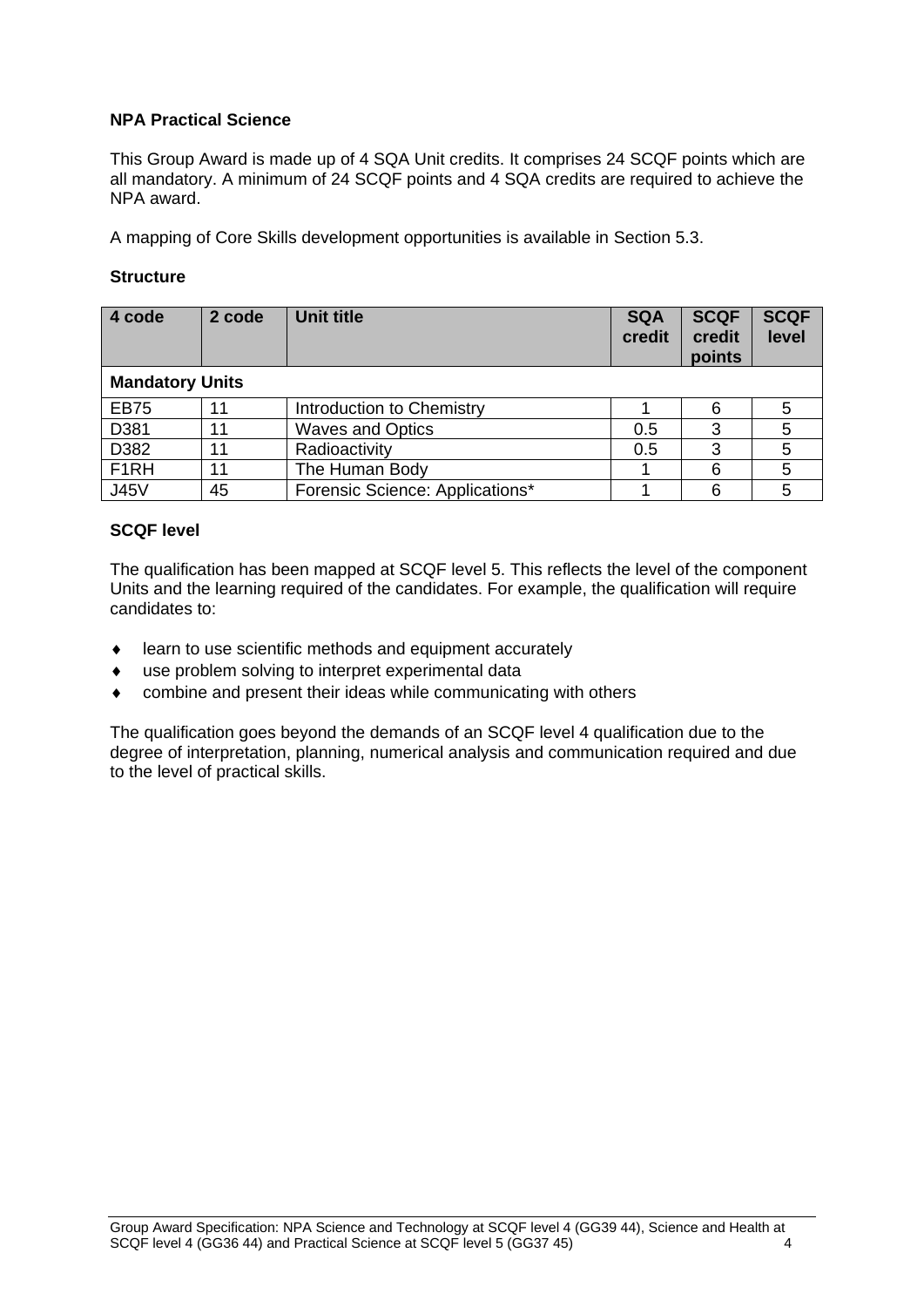### **NPA Practical Science**

This Group Award is made up of 4 SQA Unit credits. It comprises 24 SCQF points which are all mandatory. A minimum of 24 SCQF points and 4 SQA credits are required to achieve the NPA award.

A mapping of Core Skills development opportunities is available in Section 5.3.

#### **Structure**

| 4 code                 | 2 code | <b>Unit title</b>               | <b>SQA</b><br>credit | <b>SCQF</b><br>credit<br>points | <b>SCQF</b><br>level |
|------------------------|--------|---------------------------------|----------------------|---------------------------------|----------------------|
| <b>Mandatory Units</b> |        |                                 |                      |                                 |                      |
| <b>EB75</b>            | 11     | Introduction to Chemistry       |                      | 6                               |                      |
| D381                   | 11     | <b>Waves and Optics</b>         | 0.5                  | 3                               |                      |
| D382                   | 11     | Radioactivity                   | 0.5                  | 3                               | 5                    |
| F <sub>1</sub> RH      | 11     | The Human Body                  |                      | 6                               | 5                    |
| <b>J45V</b>            | 45     | Forensic Science: Applications* |                      | 6                               |                      |

#### **SCQF level**

The qualification has been mapped at SCQF level 5. This reflects the level of the component Units and the learning required of the candidates. For example, the qualification will require candidates to:

- learn to use scientific methods and equipment accurately
- use problem solving to interpret experimental data
- combine and present their ideas while communicating with others

The qualification goes beyond the demands of an SCQF level 4 qualification due to the degree of interpretation, planning, numerical analysis and communication required and due to the level of practical skills.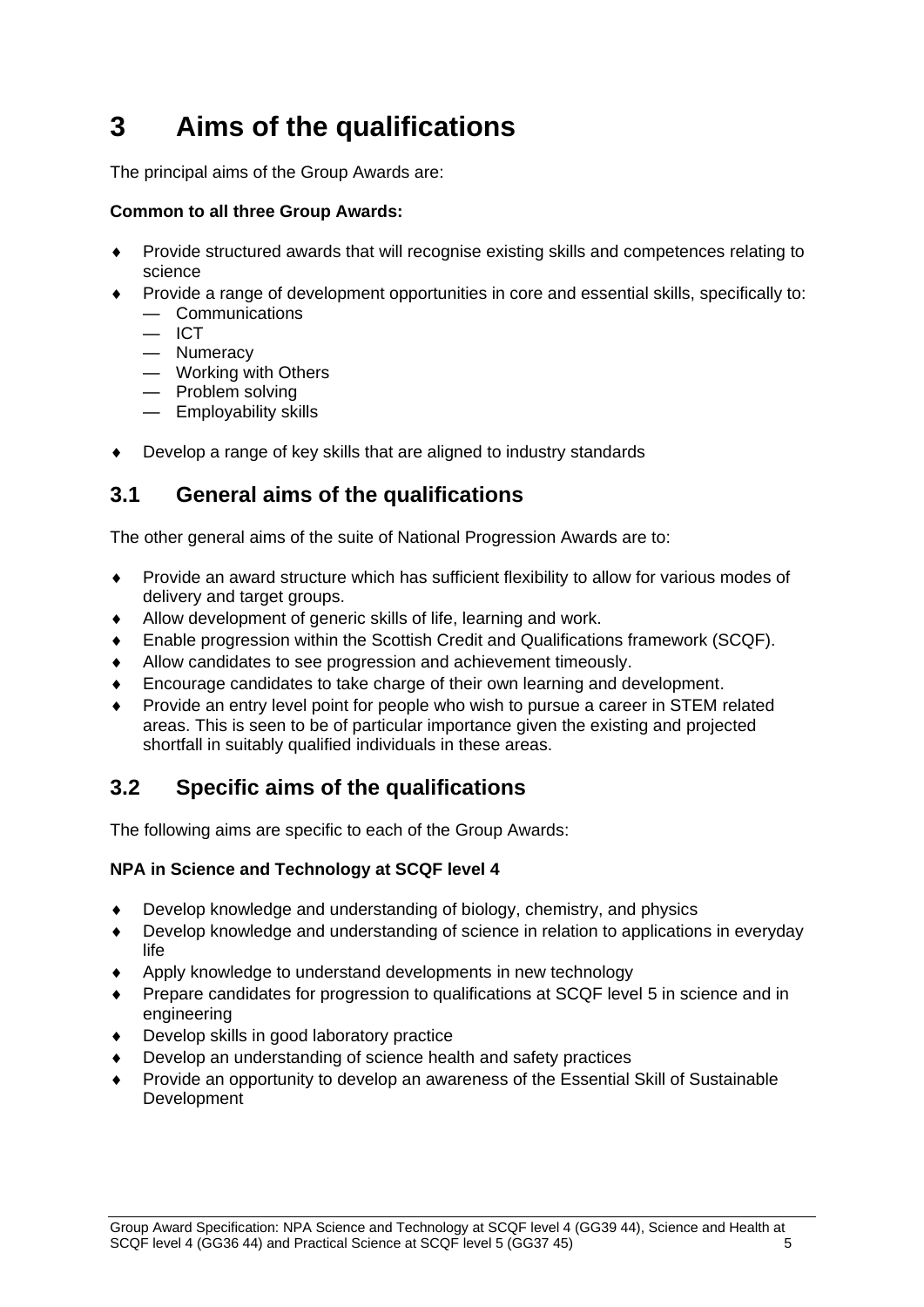# <span id="page-7-0"></span>**3 Aims of the qualifications**

The principal aims of the Group Awards are:

### **Common to all three Group Awards:**

- Provide structured awards that will recognise existing skills and competences relating to science
- Provide a range of development opportunities in core and essential skills, specifically to:
	- Communications
	- $-$  ICT
	- Numeracy
	- Working with Others
	- Problem solving
	- Employability skills
- Develop a range of key skills that are aligned to industry standards

## <span id="page-7-1"></span>**3.1 General aims of the qualifications**

The other general aims of the suite of National Progression Awards are to:

- Provide an award structure which has sufficient flexibility to allow for various modes of delivery and target groups.
- Allow development of generic skills of life, learning and work.
- Enable progression within the Scottish Credit and Qualifications framework (SCQF).
- Allow candidates to see progression and achievement timeously.
- Encourage candidates to take charge of their own learning and development.
- Provide an entry level point for people who wish to pursue a career in STEM related areas. This is seen to be of particular importance given the existing and projected shortfall in suitably qualified individuals in these areas.

## <span id="page-7-2"></span>**3.2 Specific aims of the qualifications**

The following aims are specific to each of the Group Awards:

### **NPA in Science and Technology at SCQF level 4**

- Develop knowledge and understanding of biology, chemistry, and physics
- Develop knowledge and understanding of science in relation to applications in everyday life
- Apply knowledge to understand developments in new technology
- Prepare candidates for progression to qualifications at SCQF level 5 in science and in engineering
- Develop skills in good laboratory practice
- Develop an understanding of science health and safety practices
- Provide an opportunity to develop an awareness of the Essential Skill of Sustainable Development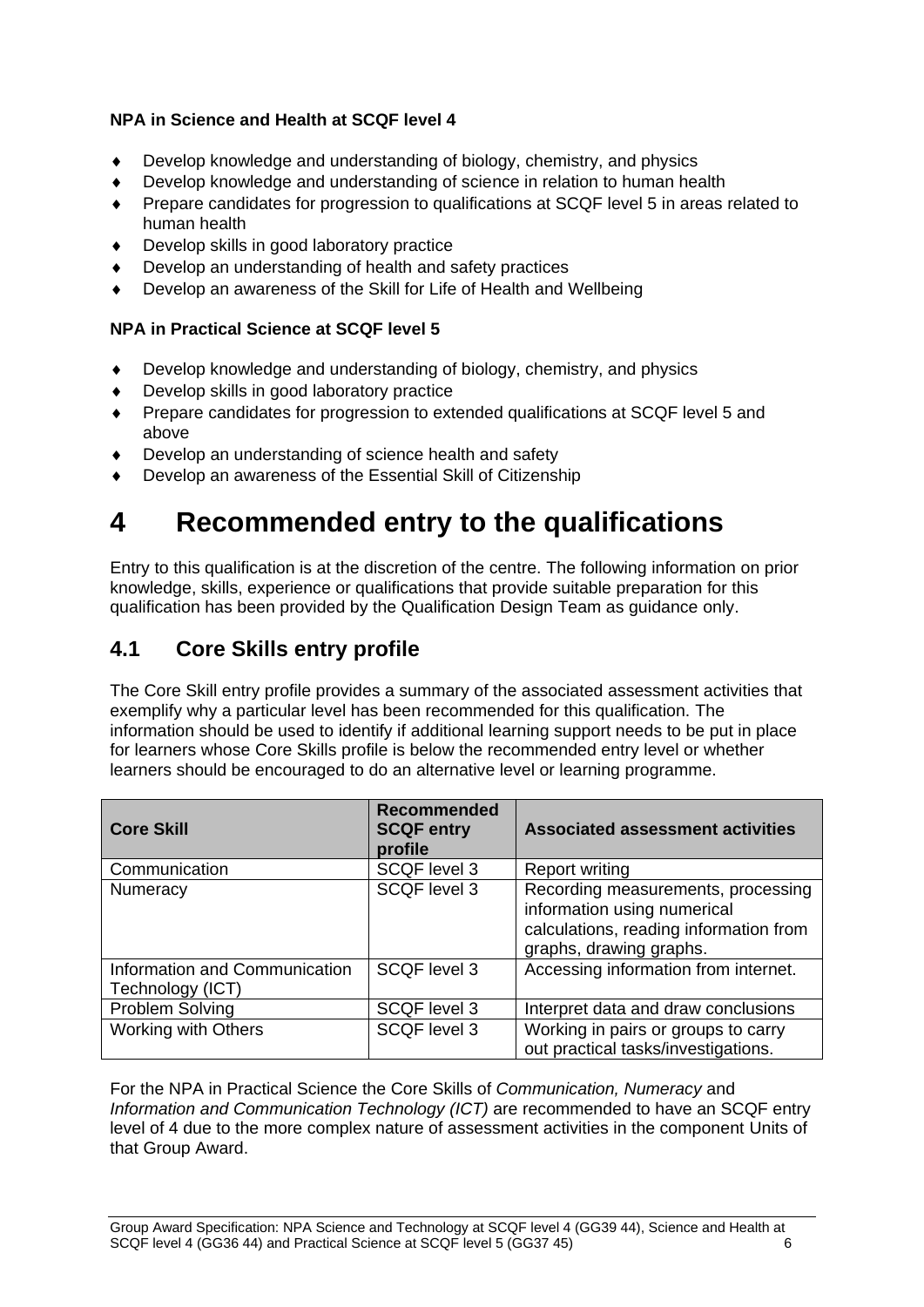### **NPA in Science and Health at SCQF level 4**

- Develop knowledge and understanding of biology, chemistry, and physics
- Develop knowledge and understanding of science in relation to human health
- Prepare candidates for progression to qualifications at SCQF level 5 in areas related to human health
- Develop skills in good laboratory practice
- Develop an understanding of health and safety practices
- Develop an awareness of the Skill for Life of Health and Wellbeing

### **NPA in Practical Science at SCQF level 5**

- Develop knowledge and understanding of biology, chemistry, and physics
- Develop skills in good laboratory practice
- Prepare candidates for progression to extended qualifications at SCQF level 5 and above
- Develop an understanding of science health and safety
- Develop an awareness of the Essential Skill of Citizenship

# <span id="page-8-0"></span>**4 Recommended entry to the qualifications**

Entry to this qualification is at the discretion of the centre. The following information on prior knowledge, skills, experience or qualifications that provide suitable preparation for this qualification has been provided by the Qualification Design Team as guidance only.

## <span id="page-8-1"></span>**4.1 Core Skills entry profile**

The Core Skill entry profile provides a summary of the associated assessment activities that exemplify why a particular level has been recommended for this qualification. The information should be used to identify if additional learning support needs to be put in place for learners whose Core Skills profile is below the recommended entry level or whether learners should be encouraged to do an alternative level or learning programme.

| <b>Core Skill</b>                                 | <b>Recommended</b><br><b>SCQF entry</b><br>profile | <b>Associated assessment activities</b>                                                                                                |
|---------------------------------------------------|----------------------------------------------------|----------------------------------------------------------------------------------------------------------------------------------------|
| Communication                                     | <b>SCQF level 3</b>                                | <b>Report writing</b>                                                                                                                  |
| Numeracy                                          | <b>SCQF</b> level 3                                | Recording measurements, processing<br>information using numerical<br>calculations, reading information from<br>graphs, drawing graphs. |
| Information and Communication<br>Technology (ICT) | <b>SCQF level 3</b>                                | Accessing information from internet.                                                                                                   |
| Problem Solving                                   | <b>SCQF level 3</b>                                | Interpret data and draw conclusions                                                                                                    |
| <b>Working with Others</b>                        | <b>SCQF level 3</b>                                | Working in pairs or groups to carry<br>out practical tasks/investigations.                                                             |

For the NPA in Practical Science the Core Skills of *Communication, Numeracy* and *Information and Communication Technology (ICT)* are recommended to have an SCQF entry level of 4 due to the more complex nature of assessment activities in the component Units of that Group Award.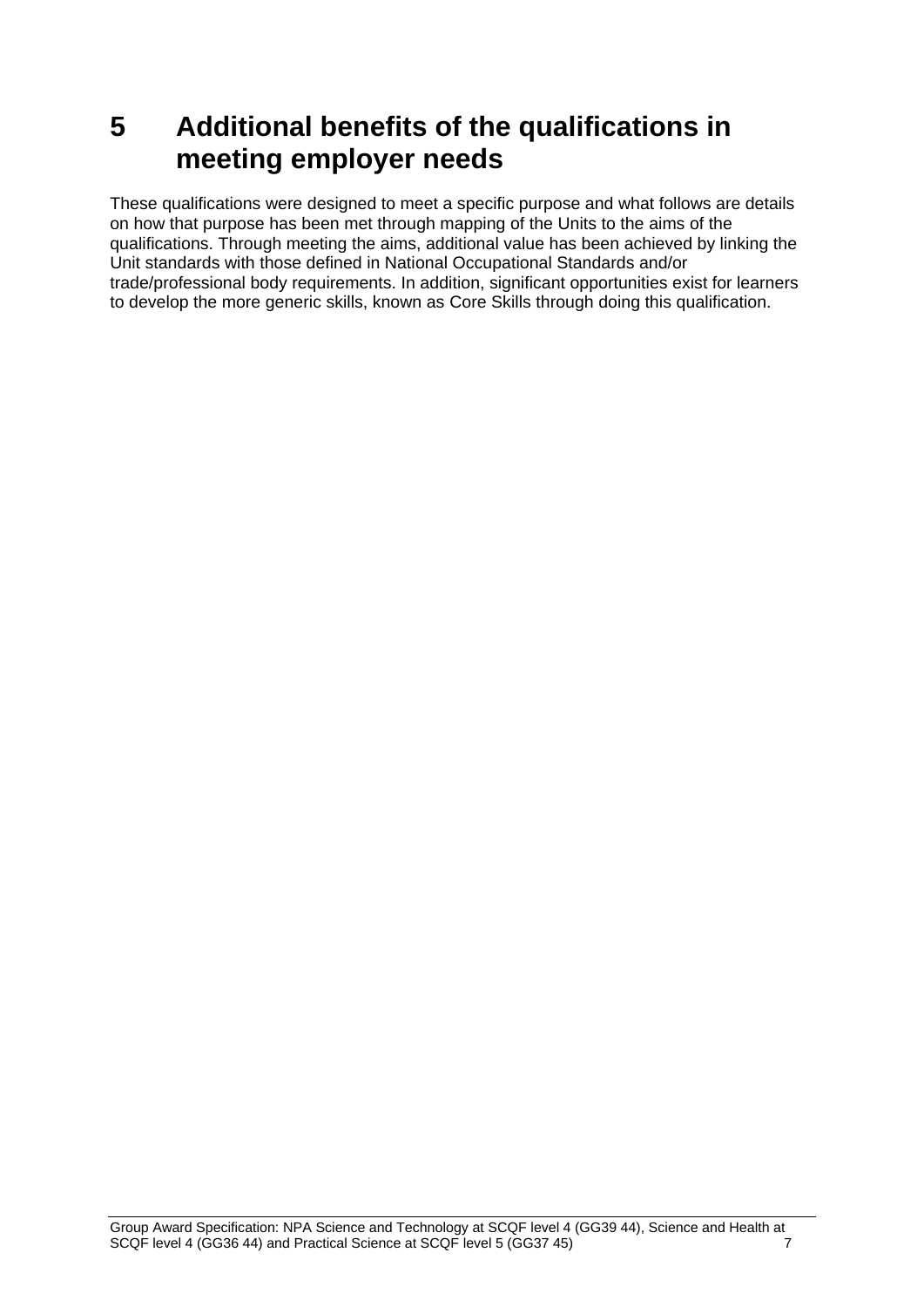# <span id="page-9-0"></span>**5 Additional benefits of the qualifications in meeting employer needs**

These qualifications were designed to meet a specific purpose and what follows are details on how that purpose has been met through mapping of the Units to the aims of the qualifications. Through meeting the aims, additional value has been achieved by linking the Unit standards with those defined in National Occupational Standards and/or trade/professional body requirements. In addition, significant opportunities exist for learners to develop the more generic skills, known as Core Skills through doing this qualification.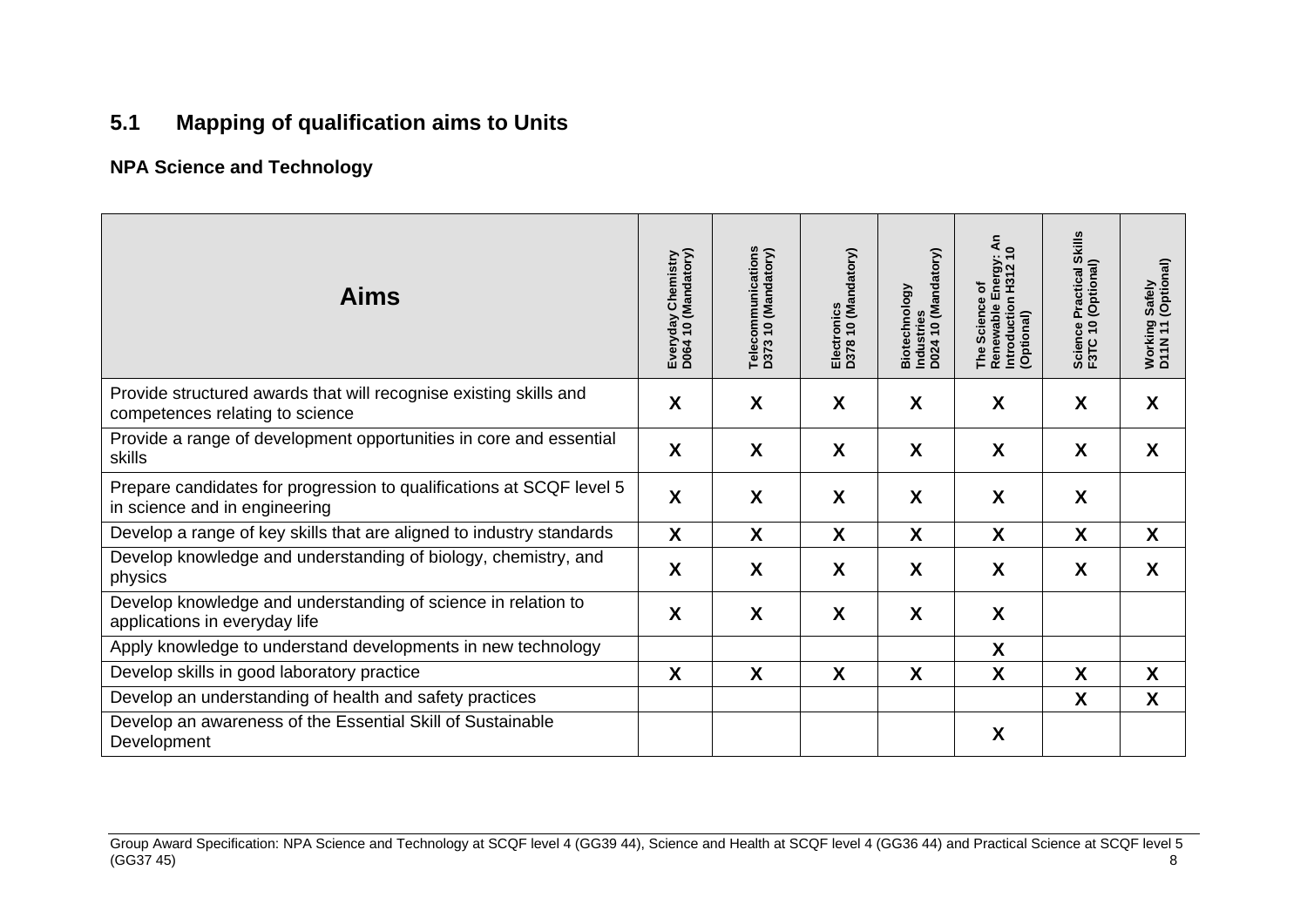# **5.1 Mapping of qualification aims to Units**

### **NPA Science and Technology**

<span id="page-10-0"></span>

| <b>Aims</b>                                                                                           | Everyday Chemistry<br>D064 10 (Mandatory) | Telecommunications<br>D373 10 (Mandatory) | D378 10 (Mandatory)<br>Electronics | Industries<br>D024 10 (Mandatory)<br>Biotechnology | $\frac{5}{4}$<br>Renewable Energy: <i>I</i><br>Introduction H312 10<br>(Optional)<br>ð<br>The Science | <b>Skills</b><br>Practical SI<br>(Optional)<br>$\overline{1}$<br>පී<br>Scienc<br>F3TC | Safely<br>(Optional)<br>Working<br>D11N 11 |
|-------------------------------------------------------------------------------------------------------|-------------------------------------------|-------------------------------------------|------------------------------------|----------------------------------------------------|-------------------------------------------------------------------------------------------------------|---------------------------------------------------------------------------------------|--------------------------------------------|
| Provide structured awards that will recognise existing skills and<br>competences relating to science  | X                                         | X                                         | X                                  | X                                                  | X                                                                                                     | X                                                                                     | X                                          |
| Provide a range of development opportunities in core and essential<br>skills                          | X                                         | X                                         | X                                  | X                                                  | X                                                                                                     | X                                                                                     | X                                          |
| Prepare candidates for progression to qualifications at SCQF level 5<br>in science and in engineering | X                                         | X                                         | X                                  | X                                                  | X                                                                                                     | X                                                                                     |                                            |
| Develop a range of key skills that are aligned to industry standards                                  | X                                         | Χ                                         | X                                  | X.                                                 | X                                                                                                     | X                                                                                     | X                                          |
| Develop knowledge and understanding of biology, chemistry, and<br>physics                             | X                                         | X                                         | X                                  | X                                                  | X                                                                                                     | X                                                                                     | X                                          |
| Develop knowledge and understanding of science in relation to<br>applications in everyday life        | X                                         | X                                         | X                                  | X                                                  | X                                                                                                     |                                                                                       |                                            |
| Apply knowledge to understand developments in new technology                                          |                                           |                                           |                                    |                                                    | X                                                                                                     |                                                                                       |                                            |
| Develop skills in good laboratory practice                                                            | X                                         | X                                         | X                                  | X                                                  | X                                                                                                     | X                                                                                     | X                                          |
| Develop an understanding of health and safety practices                                               |                                           |                                           |                                    |                                                    |                                                                                                       | X                                                                                     | X                                          |
| Develop an awareness of the Essential Skill of Sustainable<br>Development                             |                                           |                                           |                                    |                                                    | X                                                                                                     |                                                                                       |                                            |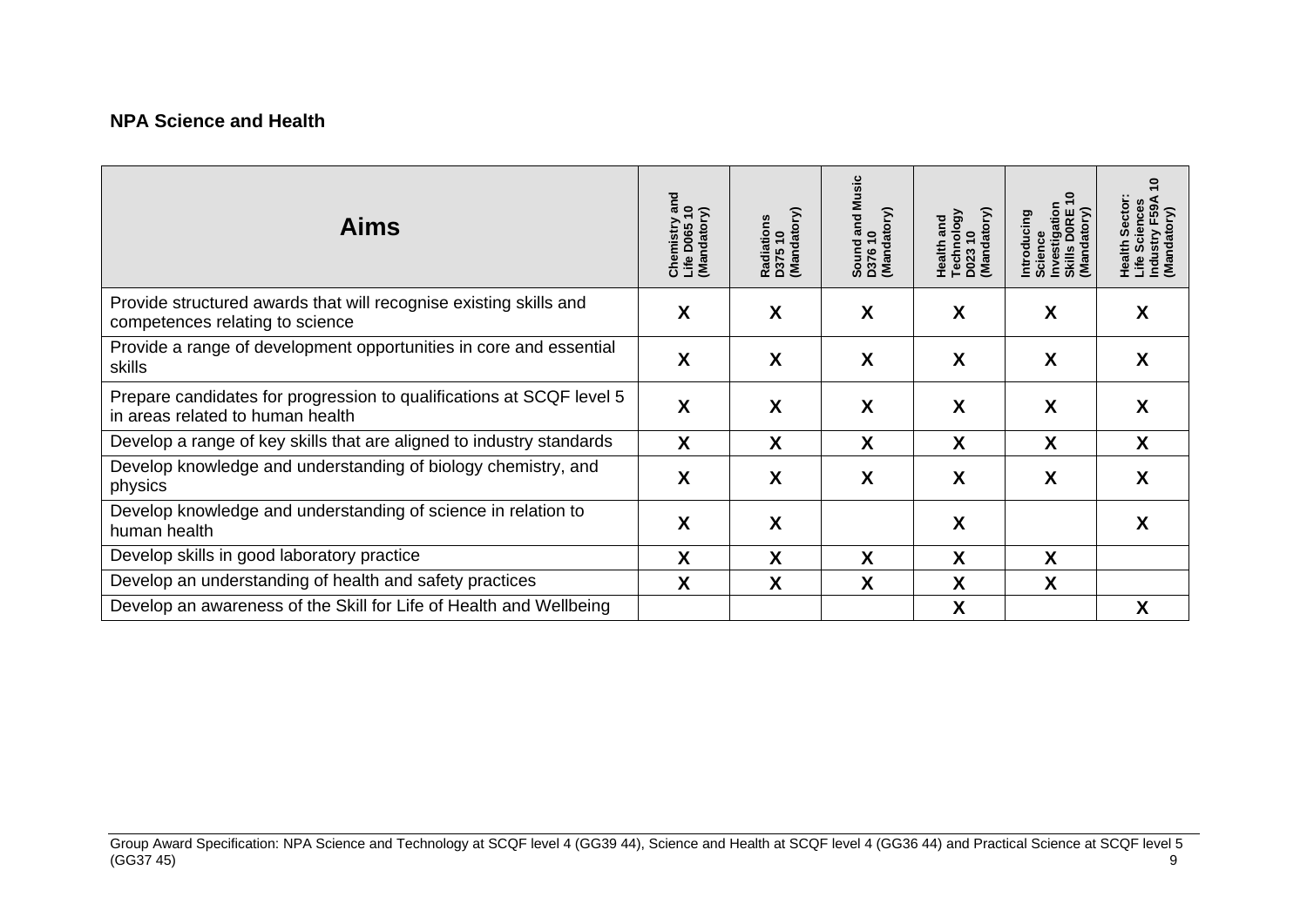### **NPA Science and Health**

| <b>Aims</b>                                                                                              | Chemistry and<br>Life D065 10<br>(Mandatory) | Radiations<br>D375 10<br>(Mandatory) | and Music<br>Sound and N<br>D376 10<br>(Mandatory) | Technology<br>D023 10<br>(Mandatory)<br>Health and | ۽<br>Investigation<br>Skills DORE 1<br>(Mandatory)<br>Introducing<br>Science | 0<br>Sector:<br><b>Health Sector:</b><br>Life Sciences<br>Industry F59A<br>(Mandatory) |
|----------------------------------------------------------------------------------------------------------|----------------------------------------------|--------------------------------------|----------------------------------------------------|----------------------------------------------------|------------------------------------------------------------------------------|----------------------------------------------------------------------------------------|
| Provide structured awards that will recognise existing skills and<br>competences relating to science     | X                                            | X                                    | X                                                  | X                                                  | X                                                                            | X                                                                                      |
| Provide a range of development opportunities in core and essential<br>skills                             | X                                            | X                                    | X                                                  | X                                                  | X                                                                            | X                                                                                      |
| Prepare candidates for progression to qualifications at SCQF level 5<br>in areas related to human health | X                                            | X                                    | X                                                  | X                                                  | X                                                                            | X                                                                                      |
| Develop a range of key skills that are aligned to industry standards                                     | X                                            | X                                    | X                                                  | X                                                  | X                                                                            | X                                                                                      |
| Develop knowledge and understanding of biology chemistry, and<br>physics                                 | X                                            | X                                    | X                                                  | X                                                  | X                                                                            | X                                                                                      |
| Develop knowledge and understanding of science in relation to<br>human health                            | X                                            | X                                    |                                                    | X                                                  |                                                                              | X                                                                                      |
| Develop skills in good laboratory practice                                                               | X                                            | X                                    | X                                                  | X                                                  | X                                                                            |                                                                                        |
| Develop an understanding of health and safety practices                                                  | X                                            | X                                    | X                                                  | X                                                  | X                                                                            |                                                                                        |
| Develop an awareness of the Skill for Life of Health and Wellbeing                                       |                                              |                                      |                                                    | X                                                  |                                                                              | χ                                                                                      |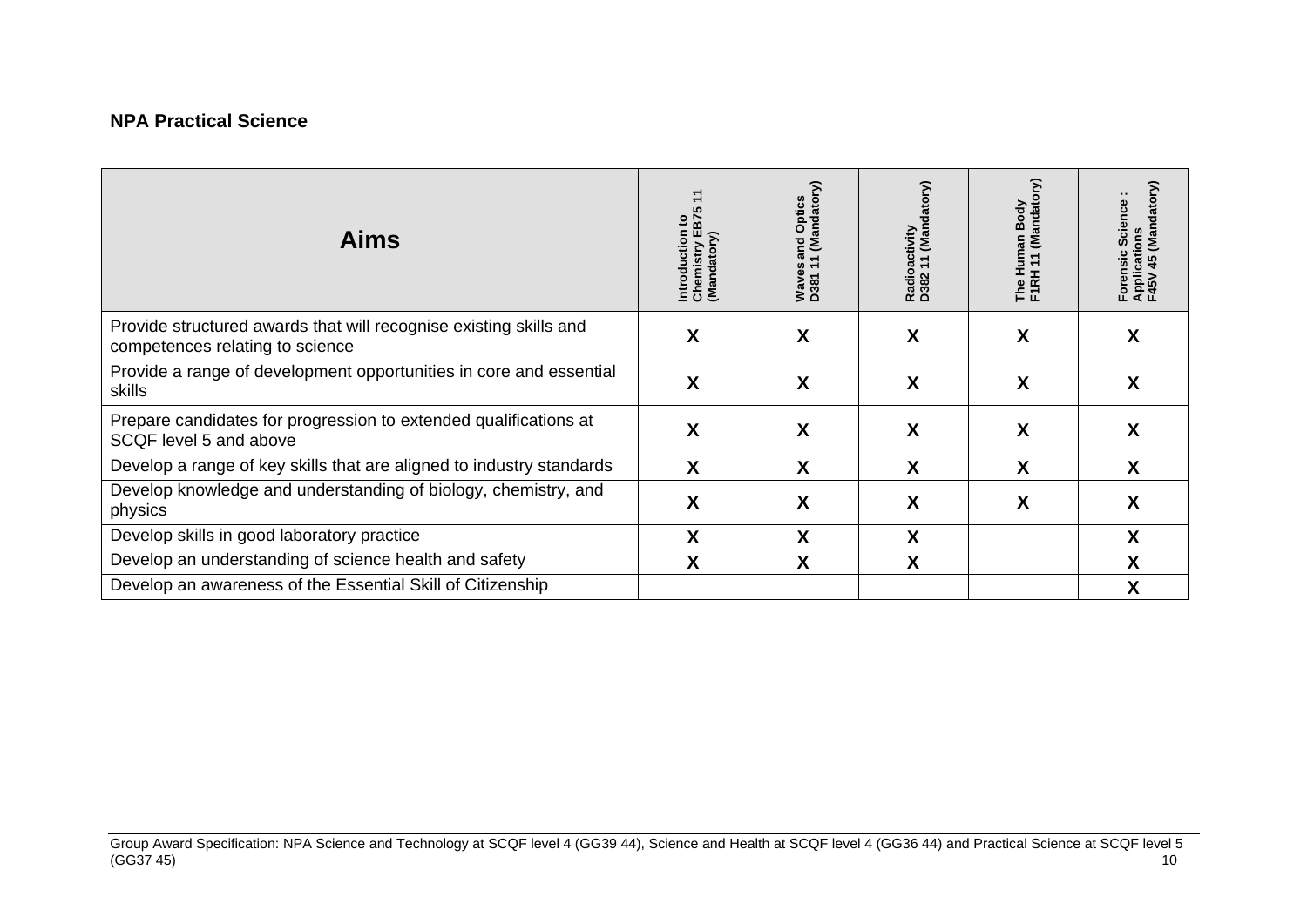### **NPA Practical Science**

| <b>Aims</b>                                                                                          | Introduction to<br>Chemistry EB75<br>(Mandatory) | Waves and Optics<br>D381 11 (Mandatory) | Radioactivity<br>D382 11 (Mandatory) | S<br>The Human Body<br>F1RH 11 (Mandato | Applications<br>F45V 45 (Mandatory)<br>Forensic Science |
|------------------------------------------------------------------------------------------------------|--------------------------------------------------|-----------------------------------------|--------------------------------------|-----------------------------------------|---------------------------------------------------------|
| Provide structured awards that will recognise existing skills and<br>competences relating to science | X                                                | X                                       | X                                    | X                                       | X                                                       |
| Provide a range of development opportunities in core and essential<br>skills                         | X                                                | X                                       | X                                    | X                                       | X                                                       |
| Prepare candidates for progression to extended qualifications at<br>SCQF level 5 and above           | X                                                | X                                       | X                                    | X                                       | X                                                       |
| Develop a range of key skills that are aligned to industry standards                                 | X                                                | X                                       | X                                    | X                                       | X                                                       |
| Develop knowledge and understanding of biology, chemistry, and<br>physics                            | X                                                | χ                                       | X                                    | Χ                                       | X                                                       |
| Develop skills in good laboratory practice                                                           | X                                                | X                                       | X                                    |                                         | X                                                       |
| Develop an understanding of science health and safety                                                | X                                                | X                                       | X                                    |                                         | X                                                       |
| Develop an awareness of the Essential Skill of Citizenship                                           |                                                  |                                         |                                      |                                         | Χ                                                       |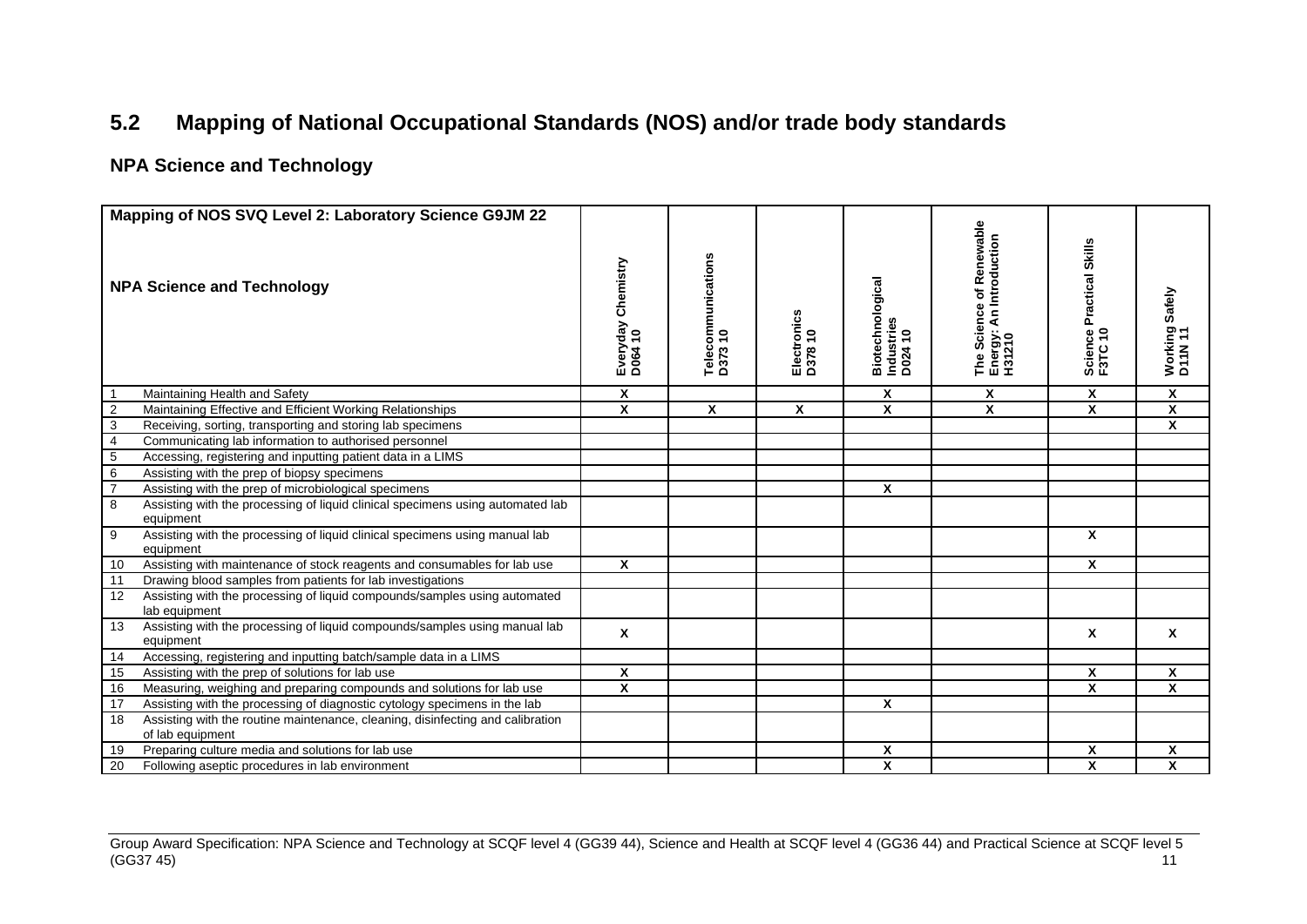# **5.2 Mapping of National Occupational Standards (NOS) and/or trade body standards**

### **NPA Science and Technology**

<span id="page-13-0"></span>

| Mapping of NOS SVQ Level 2: Laboratory Science G9JM 22 |                                                                                                    |                                  |                               |                        |                                           |                                                                                      |                                     |                           |  |
|--------------------------------------------------------|----------------------------------------------------------------------------------------------------|----------------------------------|-------------------------------|------------------------|-------------------------------------------|--------------------------------------------------------------------------------------|-------------------------------------|---------------------------|--|
| <b>NPA Science and Technology</b>                      |                                                                                                    | Chemistry<br>Everyday<br>D064 10 | Telecommunications<br>D373 10 | Electronics<br>D378 10 | Biotechnological<br>Industries<br>D024 10 | <b>Science of Renewable</b><br>rgy: An Introduction<br>The Scie<br>Energy:<br>H31210 | Science Practical Skills<br>F3TC 10 | Working Safely<br>D11N 11 |  |
|                                                        | Maintaining Health and Safety                                                                      | Χ                                |                               |                        | Χ                                         | X                                                                                    | Χ                                   | Χ                         |  |
| $\overline{2}$                                         | Maintaining Effective and Efficient Working Relationships                                          | X                                | $\mathsf{x}$                  | X                      | X                                         | X                                                                                    | X                                   | X                         |  |
| $\overline{3}$                                         | Receiving, sorting, transporting and storing lab specimens                                         |                                  |                               |                        |                                           |                                                                                      |                                     | X                         |  |
| $\overline{4}$                                         | Communicating lab information to authorised personnel                                              |                                  |                               |                        |                                           |                                                                                      |                                     |                           |  |
| $\,$ 5 $\,$                                            | Accessing, registering and inputting patient data in a LIMS                                        |                                  |                               |                        |                                           |                                                                                      |                                     |                           |  |
| $\overline{6}$                                         | Assisting with the prep of biopsy specimens                                                        |                                  |                               |                        |                                           |                                                                                      |                                     |                           |  |
| $\overline{7}$                                         | Assisting with the prep of microbiological specimens                                               |                                  |                               |                        | X                                         |                                                                                      |                                     |                           |  |
| 8                                                      | Assisting with the processing of liquid clinical specimens using automated lab<br>equipment        |                                  |                               |                        |                                           |                                                                                      |                                     |                           |  |
| 9                                                      | Assisting with the processing of liquid clinical specimens using manual lab<br>equipment           |                                  |                               |                        |                                           |                                                                                      | X                                   |                           |  |
| 10                                                     | Assisting with maintenance of stock reagents and consumables for lab use                           | X                                |                               |                        |                                           |                                                                                      | $\mathsf{x}$                        |                           |  |
| 11                                                     | Drawing blood samples from patients for lab investigations                                         |                                  |                               |                        |                                           |                                                                                      |                                     |                           |  |
| 12                                                     | Assisting with the processing of liquid compounds/samples using automated<br>lab equipment         |                                  |                               |                        |                                           |                                                                                      |                                     |                           |  |
| 13                                                     | Assisting with the processing of liquid compounds/samples using manual lab<br>equipment            | X                                |                               |                        |                                           |                                                                                      | X                                   | X                         |  |
| 14                                                     | Accessing, registering and inputting batch/sample data in a LIMS                                   |                                  |                               |                        |                                           |                                                                                      |                                     |                           |  |
| 15                                                     | Assisting with the prep of solutions for lab use                                                   | X                                |                               |                        |                                           |                                                                                      | X                                   | X                         |  |
| 16                                                     | Measuring, weighing and preparing compounds and solutions for lab use                              | $\overline{\mathbf{x}}$          |                               |                        |                                           |                                                                                      | $\overline{\mathbf{x}}$             | $\overline{\mathbf{x}}$   |  |
| 17                                                     | Assisting with the processing of diagnostic cytology specimens in the lab                          |                                  |                               |                        | X                                         |                                                                                      |                                     |                           |  |
| 18                                                     | Assisting with the routine maintenance, cleaning, disinfecting and calibration<br>of lab equipment |                                  |                               |                        |                                           |                                                                                      |                                     |                           |  |
| 19                                                     | Preparing culture media and solutions for lab use                                                  |                                  |                               |                        | X                                         |                                                                                      | X                                   | X                         |  |
| 20                                                     | Following aseptic procedures in lab environment                                                    |                                  |                               |                        | $\overline{\mathbf{x}}$                   |                                                                                      | X                                   | X                         |  |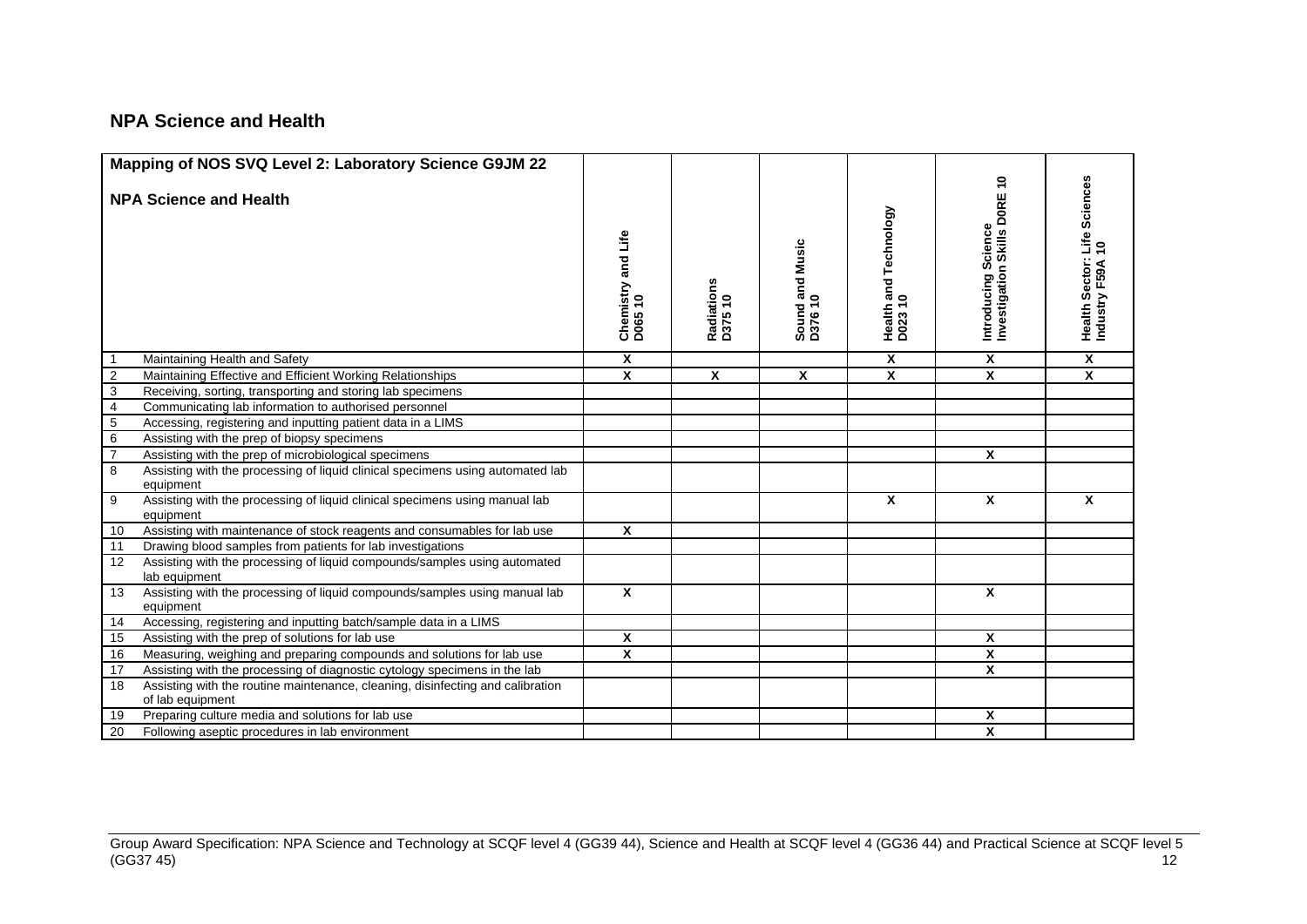### **NPA Science and Health**

|                         | Mapping of NOS SVQ Level 2: Laboratory Science G9JM 22                                             |                               |                       |                            |                                                  |                                                        |                                                  |
|-------------------------|----------------------------------------------------------------------------------------------------|-------------------------------|-----------------------|----------------------------|--------------------------------------------------|--------------------------------------------------------|--------------------------------------------------|
|                         | <b>NPA Science and Health</b>                                                                      | Chemistry and Life<br>D065 10 | Radiations<br>D375 10 | Sound and Music<br>D376 10 | Technology<br>Health and <sup>-</sup><br>D023 10 | ٥,<br>Introducing Science<br>Investigation Skills DORE | Health Sector: Life Sciences<br>Industry F59A 10 |
|                         | Maintaining Health and Safety                                                                      | $\boldsymbol{x}$              |                       |                            | X                                                | $\overline{\mathbf{x}}$                                | X                                                |
| $\overline{2}$          | Maintaining Effective and Efficient Working Relationships                                          | X                             | $\boldsymbol{x}$      | $\mathbf{x}$               | X                                                | $\overline{\mathbf{x}}$                                | X                                                |
| $\overline{3}$          | Receiving, sorting, transporting and storing lab specimens                                         |                               |                       |                            |                                                  |                                                        |                                                  |
| $\overline{\mathbf{4}}$ | Communicating lab information to authorised personnel                                              |                               |                       |                            |                                                  |                                                        |                                                  |
| $\,$ 5 $\,$             | Accessing, registering and inputting patient data in a LIMS                                        |                               |                       |                            |                                                  |                                                        |                                                  |
| $\overline{6}$          | Assisting with the prep of biopsy specimens                                                        |                               |                       |                            |                                                  |                                                        |                                                  |
| $\overline{7}$          | Assisting with the prep of microbiological specimens                                               |                               |                       |                            |                                                  | $\overline{\mathbf{x}}$                                |                                                  |
| 8                       | Assisting with the processing of liquid clinical specimens using automated lab<br>equipment        |                               |                       |                            |                                                  |                                                        |                                                  |
| 9                       | Assisting with the processing of liquid clinical specimens using manual lab<br>equipment           |                               |                       |                            | X                                                | $\mathbf{x}$                                           | X                                                |
| 10                      | Assisting with maintenance of stock reagents and consumables for lab use                           | $\boldsymbol{x}$              |                       |                            |                                                  |                                                        |                                                  |
| 11                      | Drawing blood samples from patients for lab investigations                                         |                               |                       |                            |                                                  |                                                        |                                                  |
| 12                      | Assisting with the processing of liquid compounds/samples using automated<br>lab equipment         |                               |                       |                            |                                                  |                                                        |                                                  |
| 13                      | Assisting with the processing of liquid compounds/samples using manual lab<br>equipment            | $\mathbf{x}$                  |                       |                            |                                                  | $\mathbf x$                                            |                                                  |
| 14                      | Accessing, registering and inputting batch/sample data in a LIMS                                   |                               |                       |                            |                                                  |                                                        |                                                  |
| 15                      | Assisting with the prep of solutions for lab use                                                   | X                             |                       |                            |                                                  | X                                                      |                                                  |
| 16                      | Measuring, weighing and preparing compounds and solutions for lab use                              | $\overline{\mathbf{x}}$       |                       |                            |                                                  | X                                                      |                                                  |
| 17                      | Assisting with the processing of diagnostic cytology specimens in the lab                          |                               |                       |                            |                                                  | $\mathbf{x}$                                           |                                                  |
| 18                      | Assisting with the routine maintenance, cleaning, disinfecting and calibration<br>of lab equipment |                               |                       |                            |                                                  |                                                        |                                                  |
| 19                      | Preparing culture media and solutions for lab use                                                  |                               |                       |                            |                                                  | X                                                      |                                                  |
| 20                      | Following aseptic procedures in lab environment                                                    |                               |                       |                            |                                                  | $\overline{\mathbf{x}}$                                |                                                  |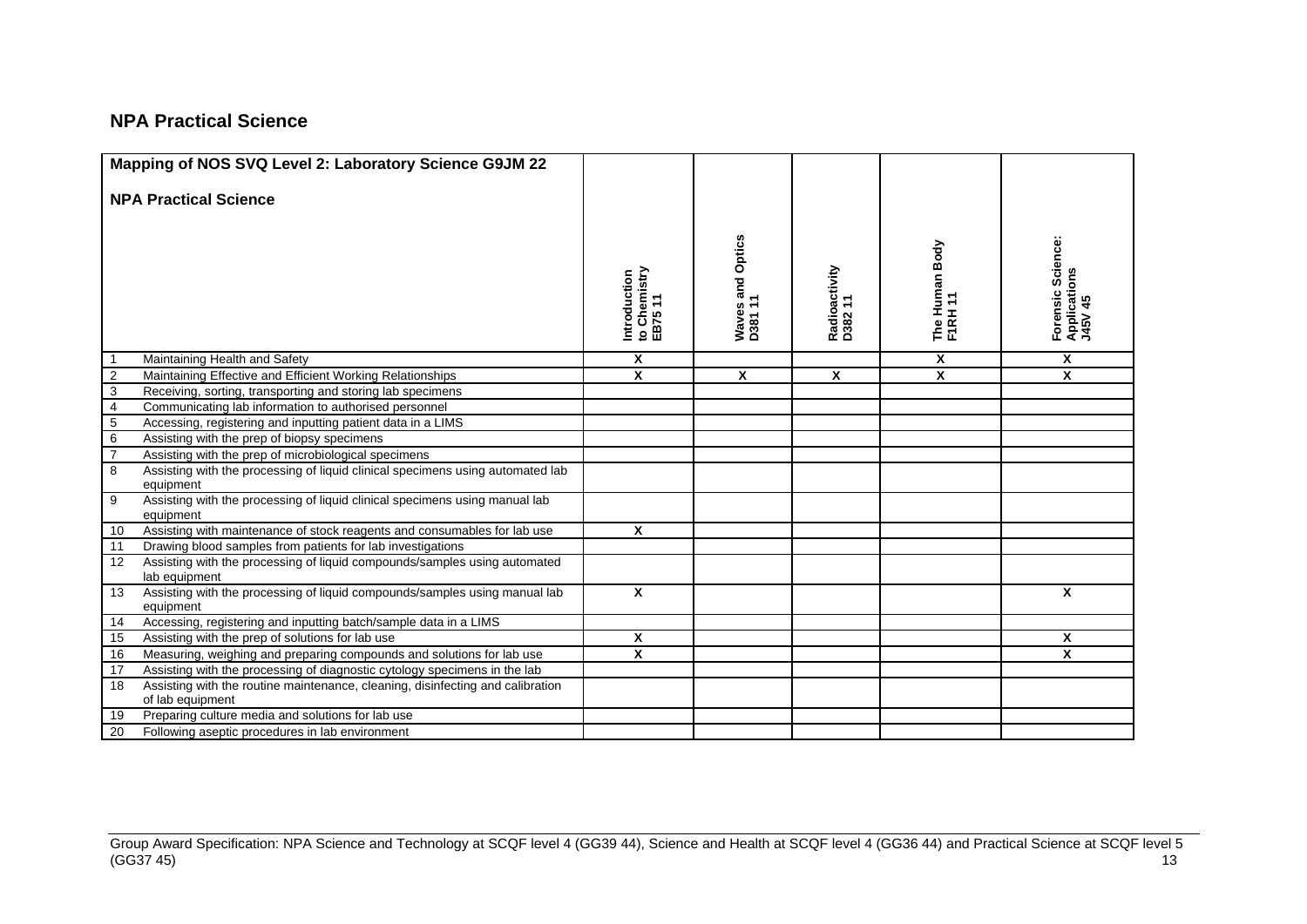### **NPA Practical Science**

| Mapping of NOS SVQ Level 2: Laboratory Science G9JM 22                                                   |                                         |                             |                          |                           |                                              |
|----------------------------------------------------------------------------------------------------------|-----------------------------------------|-----------------------------|--------------------------|---------------------------|----------------------------------------------|
| <b>NPA Practical Science</b>                                                                             |                                         |                             |                          |                           |                                              |
|                                                                                                          |                                         |                             |                          |                           |                                              |
|                                                                                                          |                                         | Waves and Optics<br>D381 11 |                          | The Human Body<br>F1RH 11 | Forensic Science:<br>Applications<br>J45V 45 |
|                                                                                                          |                                         |                             |                          |                           |                                              |
|                                                                                                          | Introduction<br>to Chemistry<br>EB75 11 |                             | Radioactivity<br>D382 11 |                           |                                              |
| Maintaining Health and Safety                                                                            | $\mathbf{x}$                            |                             |                          | X                         | $\overline{\mathbf{x}}$                      |
| $\overline{2}$<br>Maintaining Effective and Efficient Working Relationships                              | $\mathsf{x}$                            | X                           | X                        | $\boldsymbol{x}$          | X                                            |
| $\overline{3}$<br>Receiving, sorting, transporting and storing lab specimens                             |                                         |                             |                          |                           |                                              |
| $\overline{4}$<br>Communicating lab information to authorised personnel                                  |                                         |                             |                          |                           |                                              |
| $\overline{5}$<br>Accessing, registering and inputting patient data in a LIMS                            |                                         |                             |                          |                           |                                              |
| $\overline{6}$<br>Assisting with the prep of biopsy specimens                                            |                                         |                             |                          |                           |                                              |
| $\overline{7}$<br>Assisting with the prep of microbiological specimens                                   |                                         |                             |                          |                           |                                              |
| 8<br>Assisting with the processing of liquid clinical specimens using automated lab                      |                                         |                             |                          |                           |                                              |
| equipment                                                                                                |                                         |                             |                          |                           |                                              |
| 9<br>Assisting with the processing of liquid clinical specimens using manual lab                         |                                         |                             |                          |                           |                                              |
| equipment                                                                                                |                                         |                             |                          |                           |                                              |
| Assisting with maintenance of stock reagents and consumables for lab use<br>10                           | $\mathbf{x}$                            |                             |                          |                           |                                              |
| 11<br>Drawing blood samples from patients for lab investigations                                         |                                         |                             |                          |                           |                                              |
| Assisting with the processing of liquid compounds/samples using automated<br>12<br>lab equipment         |                                         |                             |                          |                           |                                              |
| Assisting with the processing of liquid compounds/samples using manual lab<br>13<br>equipment            | $\mathbf{x}$                            |                             |                          |                           | $\mathbf{x}$                                 |
| Accessing, registering and inputting batch/sample data in a LIMS<br>14                                   |                                         |                             |                          |                           |                                              |
| Assisting with the prep of solutions for lab use<br>15                                                   | $\mathsf{x}$                            |                             |                          |                           | $\boldsymbol{x}$                             |
| Measuring, weighing and preparing compounds and solutions for lab use<br>16                              | $\mathsf{x}$                            |                             |                          |                           | X                                            |
| Assisting with the processing of diagnostic cytology specimens in the lab<br>17                          |                                         |                             |                          |                           |                                              |
| Assisting with the routine maintenance, cleaning, disinfecting and calibration<br>18<br>of lab equipment |                                         |                             |                          |                           |                                              |
| Preparing culture media and solutions for lab use<br>19                                                  |                                         |                             |                          |                           |                                              |
| 20<br>Following aseptic procedures in lab environment                                                    |                                         |                             |                          |                           |                                              |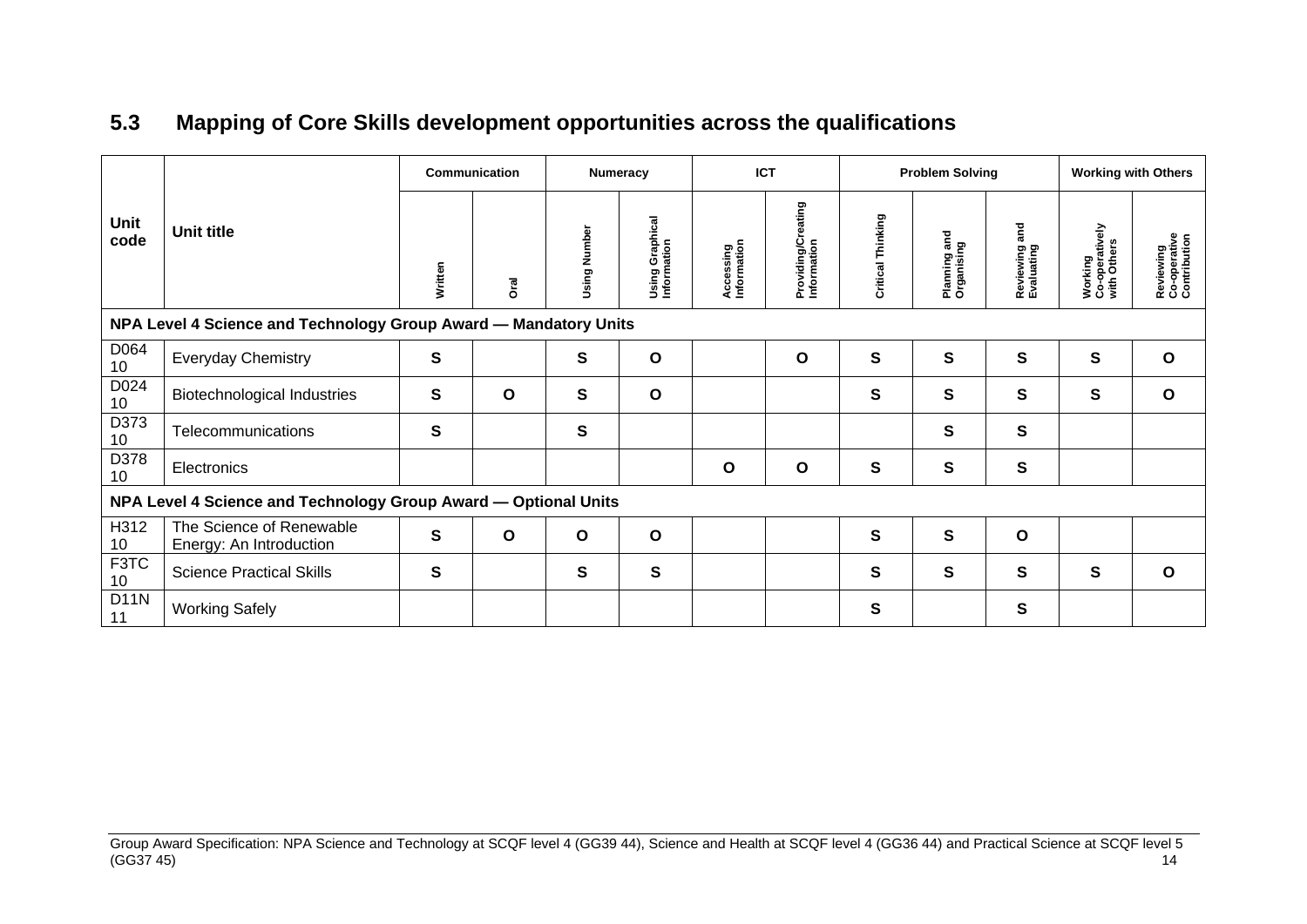# **5.3 Mapping of Core Skills development opportunities across the qualifications**

<span id="page-16-0"></span>

|                   | <b>Unit title</b>                                                | <b>Communication</b> |              | <b>Numeracy</b> |                                | <b>ICT</b>               |                                        | <b>Problem Solving</b> |                            |                             | <b>Working with Others</b>               |                                           |
|-------------------|------------------------------------------------------------------|----------------------|--------------|-----------------|--------------------------------|--------------------------|----------------------------------------|------------------------|----------------------------|-----------------------------|------------------------------------------|-------------------------------------------|
| Unit<br>code      |                                                                  | Written              | ত<br>ত       | Using Number    | Using Graphical<br>Information | Accessing<br>Information | eating<br>Providing/Cre<br>Information | Critical Thinking      | Planning and<br>Organising | Reviewing and<br>Evaluating | Working<br>Co-operatively<br>with Others | Reviewing<br>Co-operative<br>Contribution |
|                   | NPA Level 4 Science and Technology Group Award - Mandatory Units |                      |              |                 |                                |                          |                                        |                        |                            |                             |                                          |                                           |
| D064<br>10        | <b>Everyday Chemistry</b>                                        | S                    |              | $\mathbf{s}$    | O                              |                          | O                                      | $\mathbf{s}$           | S                          | $\mathbf{s}$                | S                                        | $\mathbf{o}$                              |
| D024<br>10        | Biotechnological Industries                                      | S                    | $\mathbf{o}$ | $\mathbf{s}$    | O                              |                          |                                        | S                      | S                          | S                           | S                                        | O                                         |
| D373<br>10        | Telecommunications                                               | S                    |              | $\mathbf{s}$    |                                |                          |                                        |                        | S                          | S                           |                                          |                                           |
| D378<br>10        | Electronics                                                      |                      |              |                 |                                | $\mathbf{o}$             | $\mathbf{o}$                           | $\mathbf{s}$           | S                          | S                           |                                          |                                           |
|                   | NPA Level 4 Science and Technology Group Award - Optional Units  |                      |              |                 |                                |                          |                                        |                        |                            |                             |                                          |                                           |
| H312<br>10        | The Science of Renewable<br>Energy: An Introduction              | S                    | $\mathbf{o}$ | O               | $\mathbf{o}$                   |                          |                                        | S                      | S                          | O                           |                                          |                                           |
| F3TC<br>10        | <b>Science Practical Skills</b>                                  | S                    |              | S               | S                              |                          |                                        | S                      | S                          | S                           | S                                        | $\mathbf{o}$                              |
| <b>D11N</b><br>11 | <b>Working Safely</b>                                            |                      |              |                 |                                |                          |                                        | $\mathbf{s}$           |                            | S                           |                                          |                                           |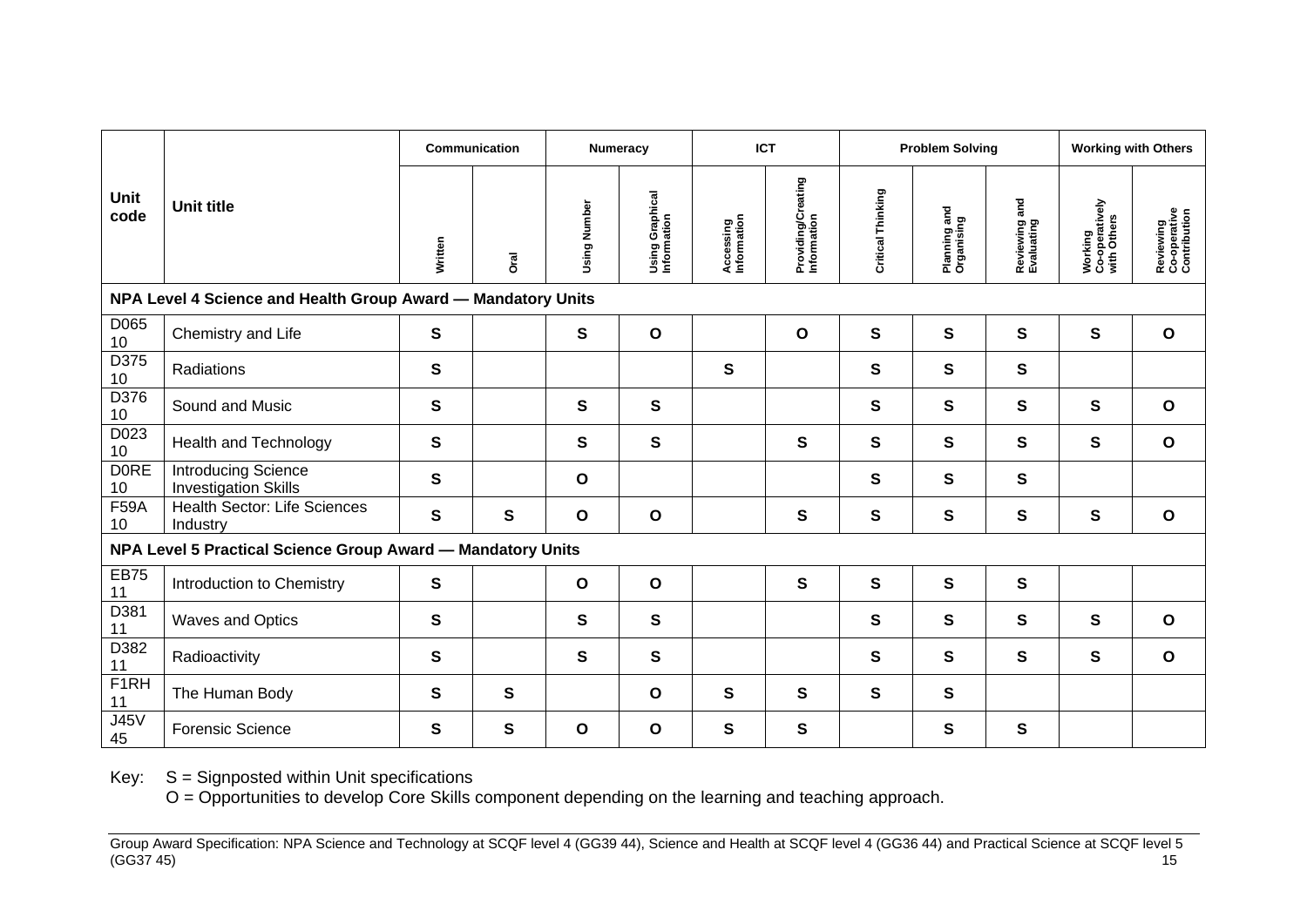|                         |                                                              | Communication |              | <b>Numeracy</b> |                                | <b>ICT</b>               |                                   | <b>Problem Solving</b> |                            |                             | <b>Working with Others</b>               |                                           |
|-------------------------|--------------------------------------------------------------|---------------|--------------|-----------------|--------------------------------|--------------------------|-----------------------------------|------------------------|----------------------------|-----------------------------|------------------------------------------|-------------------------------------------|
| <b>Unit</b><br>code     | <b>Unit title</b>                                            | Written       | <b>Dral</b>  | Using Number    | Using Graphical<br>Information | Accessing<br>Information | Providing/Creating<br>Information | Critical Thinking      | Planning and<br>Organising | Reviewing and<br>Evaluating | Working<br>Co-operatively<br>with Others | Reviewing<br>Co-operative<br>Contribution |
|                         | NPA Level 4 Science and Health Group Award - Mandatory Units |               |              |                 |                                |                          |                                   |                        |                            |                             |                                          |                                           |
| D065<br>10              | Chemistry and Life                                           | ${\bf S}$     |              | $\mathbf s$     | $\mathbf{o}$                   |                          | $\mathbf{o}$                      | $\mathbf{s}$           | $\mathbf{s}$               | $\mathbf{s}$                | $\mathbf{s}$                             | $\mathbf{o}$                              |
| D375<br>10              | Radiations                                                   | $\mathbf{s}$  |              |                 |                                | $\mathbf{s}$             |                                   | $\mathbf{s}$           | $\mathbf{s}$               | $\mathbf{s}$                |                                          |                                           |
| D376<br>10              | Sound and Music                                              | ${\bf S}$     |              | $\mathbf{s}$    | $\mathbf{s}$                   |                          |                                   | $\mathbf{s}$           | $\mathbf{s}$               | $\mathbf{s}$                | S                                        | $\mathbf{o}$                              |
| $D02\overline{3}$<br>10 | <b>Health and Technology</b>                                 | ${\mathsf s}$ |              | $\mathbf s$     | ${\bf S}$                      |                          | $\mathbf s$                       | $\mathbf s$            | S                          | S                           | ${\bf S}$                                | $\mathbf{o}$                              |
| <b>DORE</b><br>10       | <b>Introducing Science</b><br><b>Investigation Skills</b>    | $\mathbf{s}$  |              | $\mathbf{o}$    |                                |                          |                                   | $\mathbf{s}$           | $\mathbf{s}$               | S                           |                                          |                                           |
| <b>F59A</b><br>10       | <b>Health Sector: Life Sciences</b><br>Industry              | S             | $\mathbf{s}$ | $\mathbf{o}$    | $\mathbf{o}$                   |                          | $\mathbf{s}$                      | $\mathbf{s}$           | $\mathbf{s}$               | $\mathbf{s}$                | $\mathbf{s}$                             | $\mathbf{o}$                              |
|                         | NPA Level 5 Practical Science Group Award - Mandatory Units  |               |              |                 |                                |                          |                                   |                        |                            |                             |                                          |                                           |
| <b>EB75</b><br>11       | Introduction to Chemistry                                    | ${\bf S}$     |              | $\mathbf{o}$    | $\mathbf{o}$                   |                          | $\mathbf{s}$                      | $\mathbf{s}$           | S                          | $\mathbf{s}$                |                                          |                                           |
| D381<br>11              | Waves and Optics                                             | S             |              | S               | $\mathbf{s}$                   |                          |                                   | S                      | S                          | S                           | S                                        | $\mathbf{o}$                              |
| D382<br>11              | Radioactivity                                                | ${\bf S}$     |              | $\mathbf s$     | ${\bf S}$                      |                          |                                   | ${\bf S}$              | ${\bf S}$                  | S                           | S                                        | $\mathbf{o}$                              |
| F1RH<br>11              | The Human Body                                               | $\mathbf{s}$  | $\mathbf{s}$ |                 | O                              | $\mathbf{s}$             | $\mathbf{s}$                      | S                      | $\mathbf{s}$               |                             |                                          |                                           |
| <b>J45V</b><br>45       | <b>Forensic Science</b>                                      | S             | S            | O               | O                              | S                        | S                                 |                        | S                          | S                           |                                          |                                           |

Key: S = Signposted within Unit specifications

O = Opportunities to develop Core Skills component depending on the learning and teaching approach.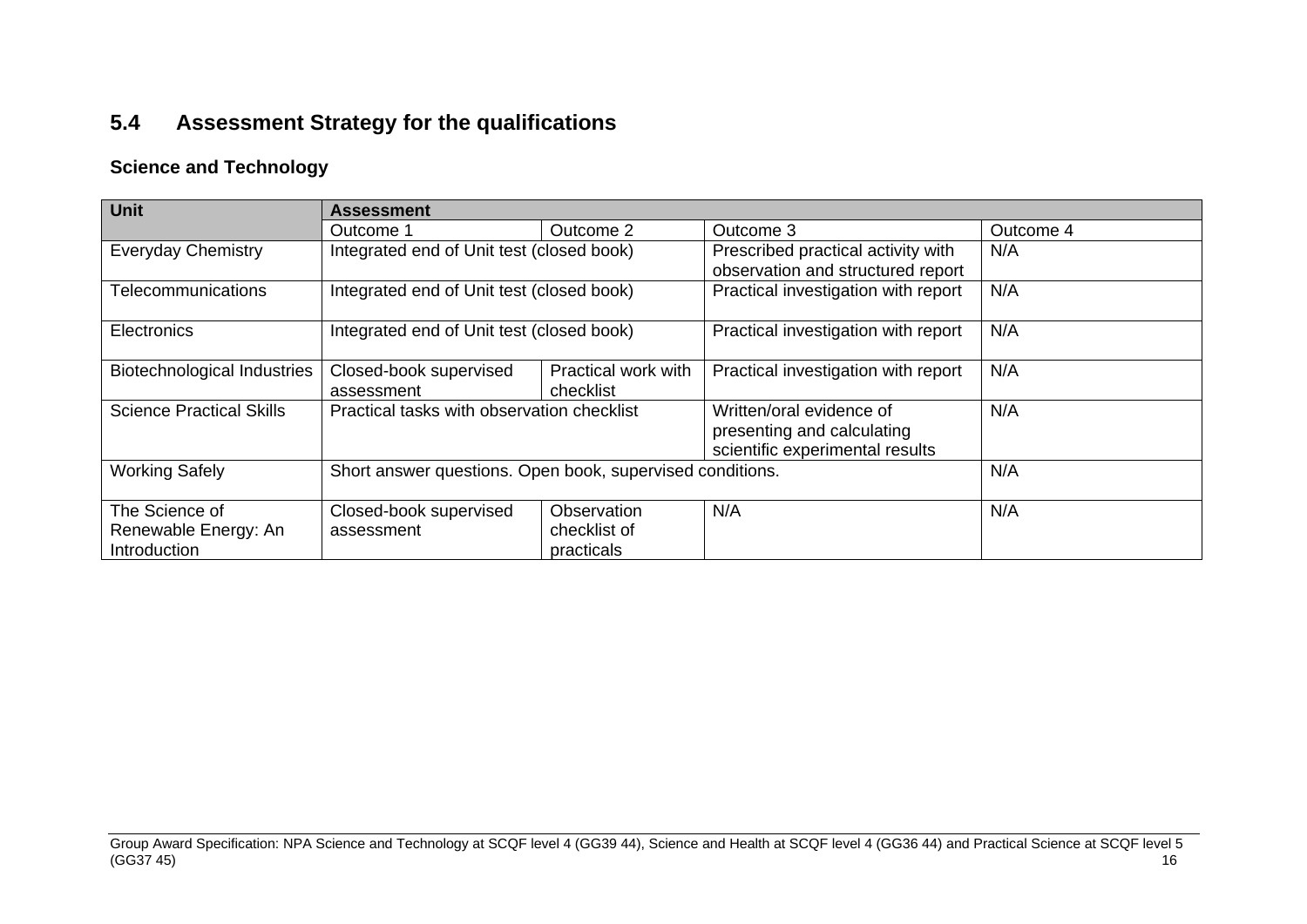# **5.4 Assessment Strategy for the qualifications**

### **Science and Technology**

<span id="page-18-0"></span>

| <b>Unit</b>                        | <b>Assessment</b>                                         |                     |                                     |           |  |  |  |  |
|------------------------------------|-----------------------------------------------------------|---------------------|-------------------------------------|-----------|--|--|--|--|
|                                    | Outcome 1                                                 | Outcome 2           | Outcome 3                           | Outcome 4 |  |  |  |  |
| <b>Everyday Chemistry</b>          | Integrated end of Unit test (closed book)                 |                     | Prescribed practical activity with  | N/A       |  |  |  |  |
|                                    |                                                           |                     | observation and structured report   |           |  |  |  |  |
| <b>Telecommunications</b>          | Integrated end of Unit test (closed book)                 |                     | Practical investigation with report | N/A       |  |  |  |  |
| <b>Electronics</b>                 | Integrated end of Unit test (closed book)                 |                     | Practical investigation with report | N/A       |  |  |  |  |
| <b>Biotechnological Industries</b> | Closed-book supervised                                    | Practical work with | Practical investigation with report | N/A       |  |  |  |  |
|                                    | assessment                                                | checklist           |                                     |           |  |  |  |  |
| <b>Science Practical Skills</b>    | Practical tasks with observation checklist                |                     | Written/oral evidence of            | N/A       |  |  |  |  |
|                                    |                                                           |                     | presenting and calculating          |           |  |  |  |  |
|                                    |                                                           |                     | scientific experimental results     |           |  |  |  |  |
| <b>Working Safely</b>              | Short answer questions. Open book, supervised conditions. |                     |                                     | N/A       |  |  |  |  |
| The Science of                     | Closed-book supervised                                    | Observation         | N/A                                 | N/A       |  |  |  |  |
| Renewable Energy: An               | assessment                                                | checklist of        |                                     |           |  |  |  |  |
| <b>Introduction</b>                |                                                           | practicals          |                                     |           |  |  |  |  |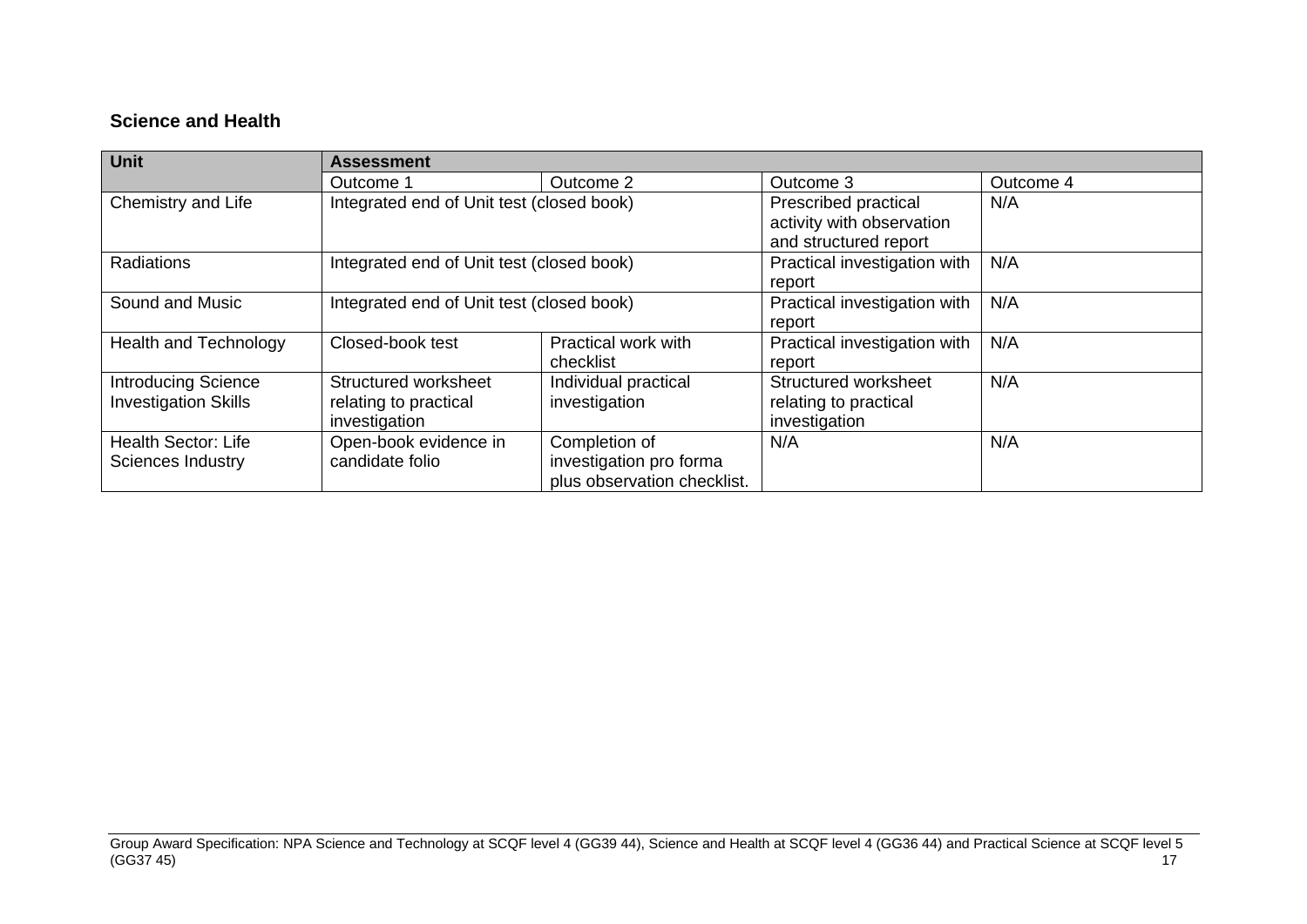### **Science and Health**

| <b>Unit</b>                                               | Assessment                                                     |                                                                         |                                                                            |           |  |  |  |  |
|-----------------------------------------------------------|----------------------------------------------------------------|-------------------------------------------------------------------------|----------------------------------------------------------------------------|-----------|--|--|--|--|
|                                                           | Outcome 1                                                      | Outcome 2                                                               | Outcome 3                                                                  | Outcome 4 |  |  |  |  |
| Chemistry and Life                                        | Integrated end of Unit test (closed book)                      |                                                                         | Prescribed practical<br>activity with observation<br>and structured report | N/A       |  |  |  |  |
| <b>Radiations</b>                                         | Integrated end of Unit test (closed book)                      |                                                                         | Practical investigation with<br>report                                     | N/A       |  |  |  |  |
| Sound and Music                                           | Integrated end of Unit test (closed book)                      |                                                                         | Practical investigation with<br>report                                     | N/A       |  |  |  |  |
| <b>Health and Technology</b>                              | Closed-book test                                               | Practical work with<br>checklist                                        | Practical investigation with<br>report                                     | N/A       |  |  |  |  |
| <b>Introducing Science</b><br><b>Investigation Skills</b> | Structured worksheet<br>relating to practical<br>investigation | Individual practical<br>investigation                                   | Structured worksheet<br>relating to practical<br>investigation             | N/A       |  |  |  |  |
| <b>Health Sector: Life</b><br><b>Sciences Industry</b>    | Open-book evidence in<br>candidate folio                       | Completion of<br>investigation pro forma<br>plus observation checklist. | N/A                                                                        | N/A       |  |  |  |  |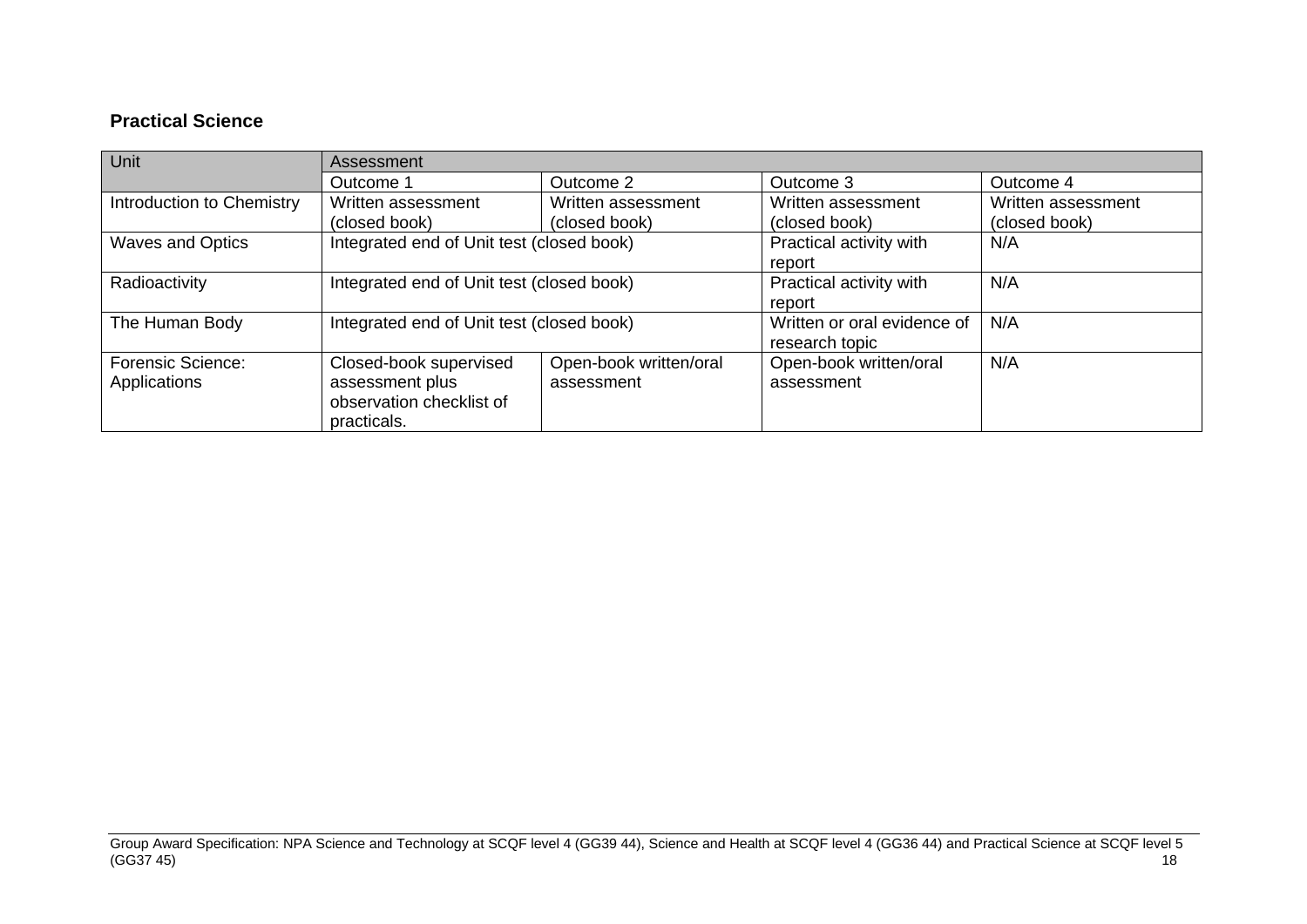## **Practical Science**

| <b>Unit</b>                              | Assessment                                                                           |                                      |                                               |                                     |  |  |  |  |
|------------------------------------------|--------------------------------------------------------------------------------------|--------------------------------------|-----------------------------------------------|-------------------------------------|--|--|--|--|
|                                          | Outcome 1                                                                            | Outcome 2                            | Outcome 3                                     | Outcome 4                           |  |  |  |  |
| Introduction to Chemistry                | Written assessment<br>(closed book)                                                  | Written assessment<br>(closed book)  | Written assessment<br>(closed book)           | Written assessment<br>(closed book) |  |  |  |  |
| <b>Waves and Optics</b>                  | Integrated end of Unit test (closed book)                                            |                                      | Practical activity with<br>report             | N/A                                 |  |  |  |  |
| Radioactivity                            | Integrated end of Unit test (closed book)                                            |                                      | Practical activity with<br>report             | N/A                                 |  |  |  |  |
| The Human Body                           | Integrated end of Unit test (closed book)                                            |                                      | Written or oral evidence of<br>research topic | N/A                                 |  |  |  |  |
| <b>Forensic Science:</b><br>Applications | Closed-book supervised<br>assessment plus<br>observation checklist of<br>practicals. | Open-book written/oral<br>assessment | Open-book written/oral<br>assessment          | N/A                                 |  |  |  |  |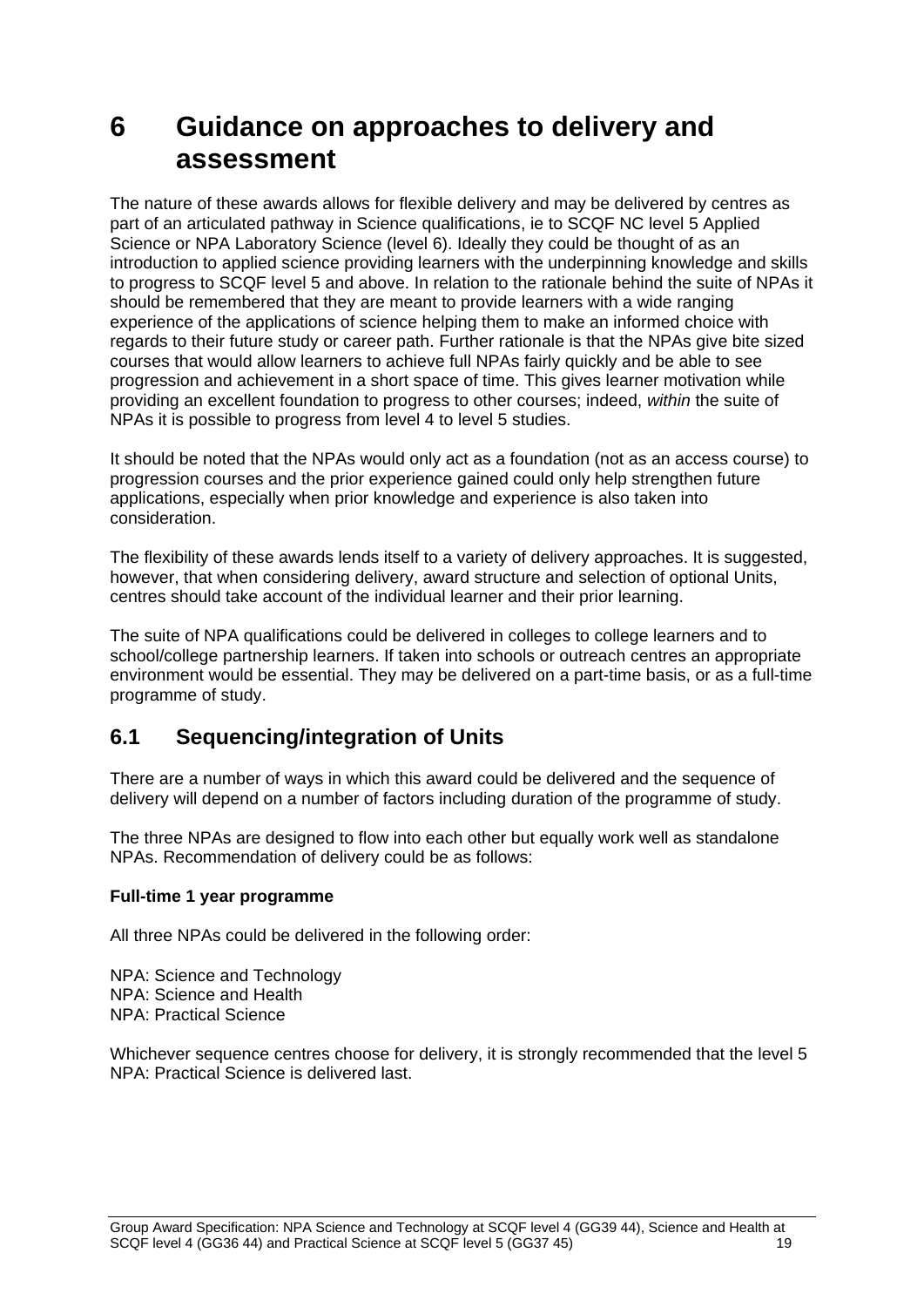# <span id="page-21-0"></span>**6 Guidance on approaches to delivery and assessment**

The nature of these awards allows for flexible delivery and may be delivered by centres as part of an articulated pathway in Science qualifications, ie to SCQF NC level 5 Applied Science or NPA Laboratory Science (level 6). Ideally they could be thought of as an introduction to applied science providing learners with the underpinning knowledge and skills to progress to SCQF level 5 and above. In relation to the rationale behind the suite of NPAs it should be remembered that they are meant to provide learners with a wide ranging experience of the applications of science helping them to make an informed choice with regards to their future study or career path. Further rationale is that the NPAs give bite sized courses that would allow learners to achieve full NPAs fairly quickly and be able to see progression and achievement in a short space of time. This gives learner motivation while providing an excellent foundation to progress to other courses; indeed, *within* the suite of NPAs it is possible to progress from level 4 to level 5 studies.

It should be noted that the NPAs would only act as a foundation (not as an access course) to progression courses and the prior experience gained could only help strengthen future applications, especially when prior knowledge and experience is also taken into consideration.

The flexibility of these awards lends itself to a variety of delivery approaches. It is suggested, however, that when considering delivery, award structure and selection of optional Units, centres should take account of the individual learner and their prior learning.

The suite of NPA qualifications could be delivered in colleges to college learners and to school/college partnership learners. If taken into schools or outreach centres an appropriate environment would be essential. They may be delivered on a part-time basis, or as a full-time programme of study.

## <span id="page-21-1"></span>**6.1 Sequencing/integration of Units**

There are a number of ways in which this award could be delivered and the sequence of delivery will depend on a number of factors including duration of the programme of study.

The three NPAs are designed to flow into each other but equally work well as standalone NPAs. Recommendation of delivery could be as follows:

### **Full-time 1 year programme**

All three NPAs could be delivered in the following order:

NPA: Science and Technology NPA: Science and Health NPA: Practical Science

Whichever sequence centres choose for delivery, it is strongly recommended that the level 5 NPA: Practical Science is delivered last.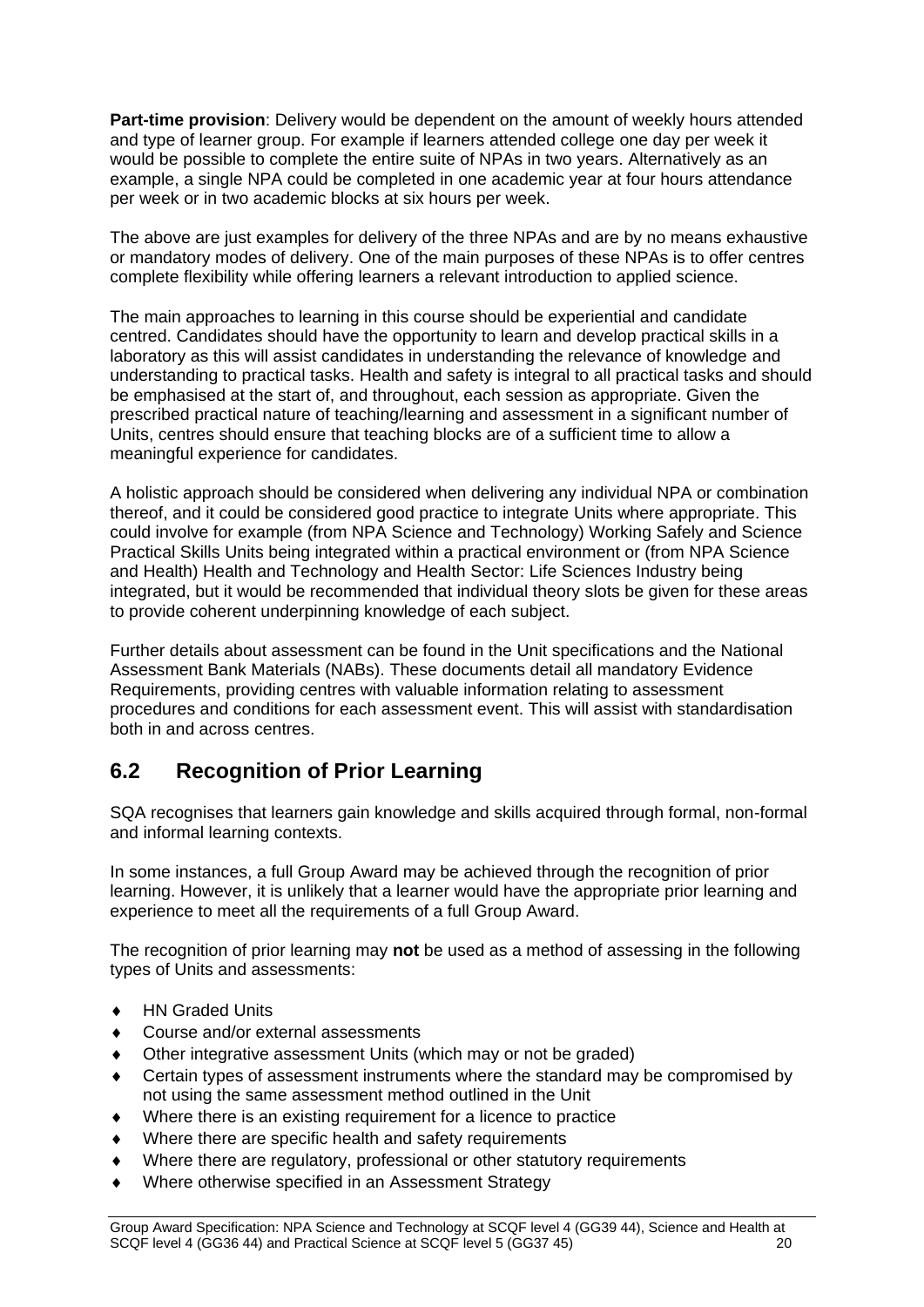**Part-time provision**: Delivery would be dependent on the amount of weekly hours attended and type of learner group. For example if learners attended college one day per week it would be possible to complete the entire suite of NPAs in two years. Alternatively as an example, a single NPA could be completed in one academic year at four hours attendance per week or in two academic blocks at six hours per week.

The above are just examples for delivery of the three NPAs and are by no means exhaustive or mandatory modes of delivery. One of the main purposes of these NPAs is to offer centres complete flexibility while offering learners a relevant introduction to applied science.

The main approaches to learning in this course should be experiential and candidate centred. Candidates should have the opportunity to learn and develop practical skills in a laboratory as this will assist candidates in understanding the relevance of knowledge and understanding to practical tasks. Health and safety is integral to all practical tasks and should be emphasised at the start of, and throughout, each session as appropriate. Given the prescribed practical nature of teaching/learning and assessment in a significant number of Units, centres should ensure that teaching blocks are of a sufficient time to allow a meaningful experience for candidates.

A holistic approach should be considered when delivering any individual NPA or combination thereof, and it could be considered good practice to integrate Units where appropriate. This could involve for example (from NPA Science and Technology) Working Safely and Science Practical Skills Units being integrated within a practical environment or (from NPA Science and Health) Health and Technology and Health Sector: Life Sciences Industry being integrated, but it would be recommended that individual theory slots be given for these areas to provide coherent underpinning knowledge of each subject.

Further details about assessment can be found in the Unit specifications and the National Assessment Bank Materials (NABs). These documents detail all mandatory Evidence Requirements, providing centres with valuable information relating to assessment procedures and conditions for each assessment event. This will assist with standardisation both in and across centres.

## <span id="page-22-0"></span>**6.2 Recognition of Prior Learning**

SQA recognises that learners gain knowledge and skills acquired through formal, non-formal and informal learning contexts.

In some instances, a full Group Award may be achieved through the recognition of prior learning. However, it is unlikely that a learner would have the appropriate prior learning and experience to meet all the requirements of a full Group Award.

The recognition of prior learning may **not** be used as a method of assessing in the following types of Units and assessments:

- ◆ HN Graded Units
- Course and/or external assessments
- Other integrative assessment Units (which may or not be graded)
- Certain types of assessment instruments where the standard may be compromised by not using the same assessment method outlined in the Unit
- Where there is an existing requirement for a licence to practice
- Where there are specific health and safety requirements
- Where there are regulatory, professional or other statutory requirements
- Where otherwise specified in an Assessment Strategy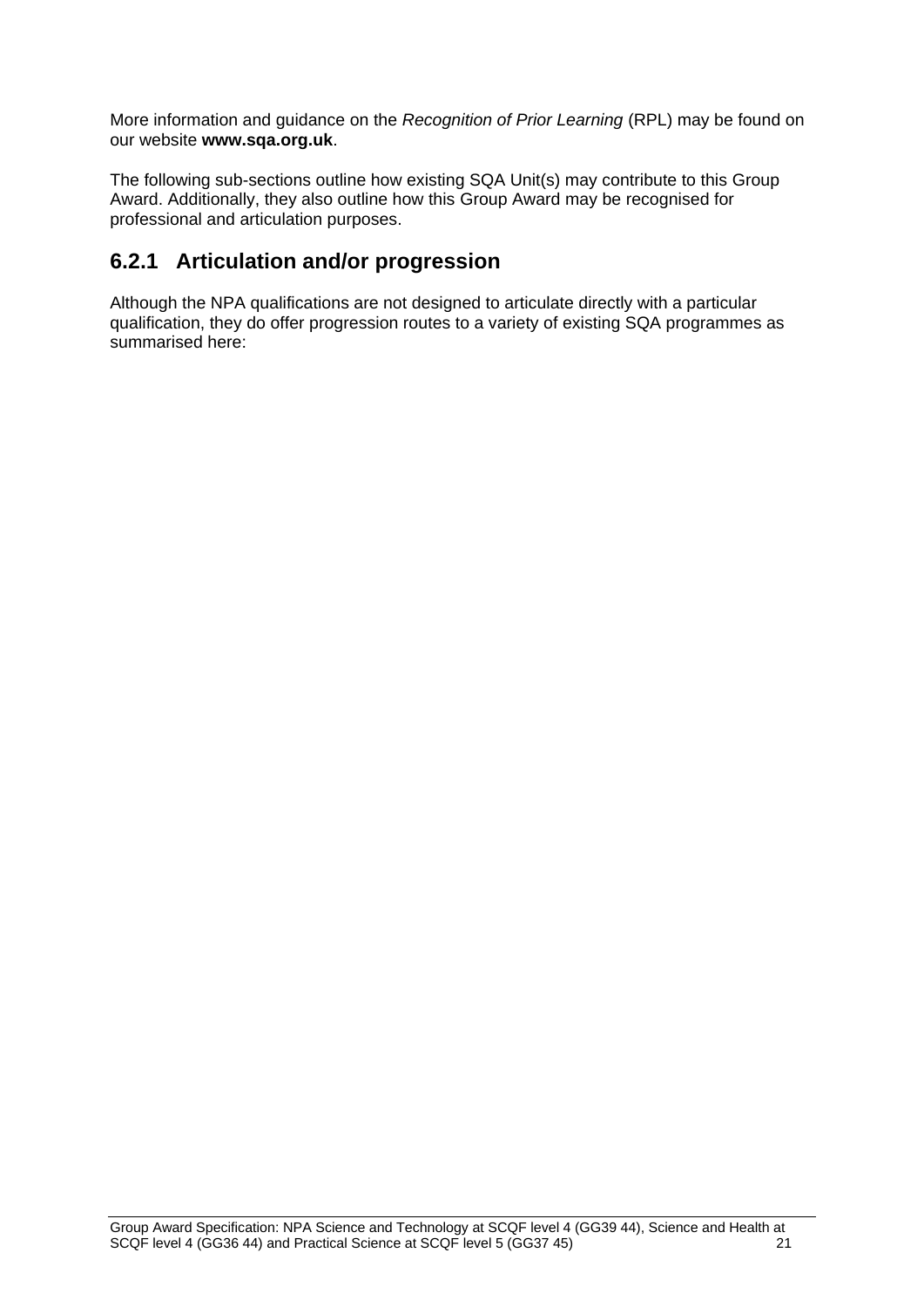More information and guidance on the *Recognition of Prior Learning* (RPL) may be found on our website **[www.sqa.org.uk](http://www.sqa.org.uk/)**.

The following sub-sections outline how existing SQA Unit(s) may contribute to this Group Award. Additionally, they also outline how this Group Award may be recognised for professional and articulation purposes.

# **6.2.1 Articulation and/or progression**

Although the NPA qualifications are not designed to articulate directly with a particular qualification, they do offer progression routes to a variety of existing SQA programmes as summarised here: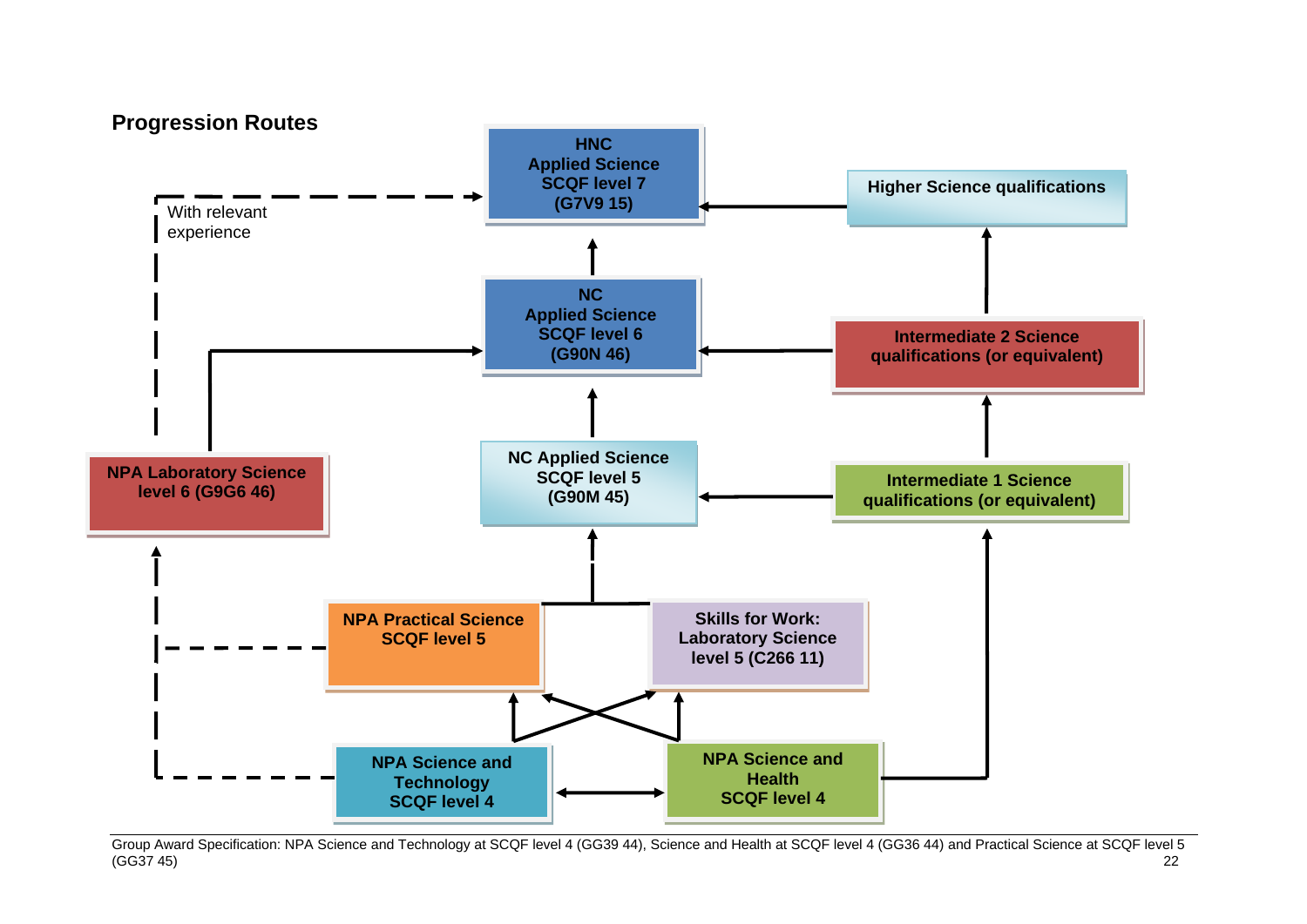

Group Award Specification: NPA Science and Technology at SCQF level 4 (GG39 44), Science and Health at SCQF level 4 (GG36 44) and Practical Science at SCQF level 5 (GG37 45) 22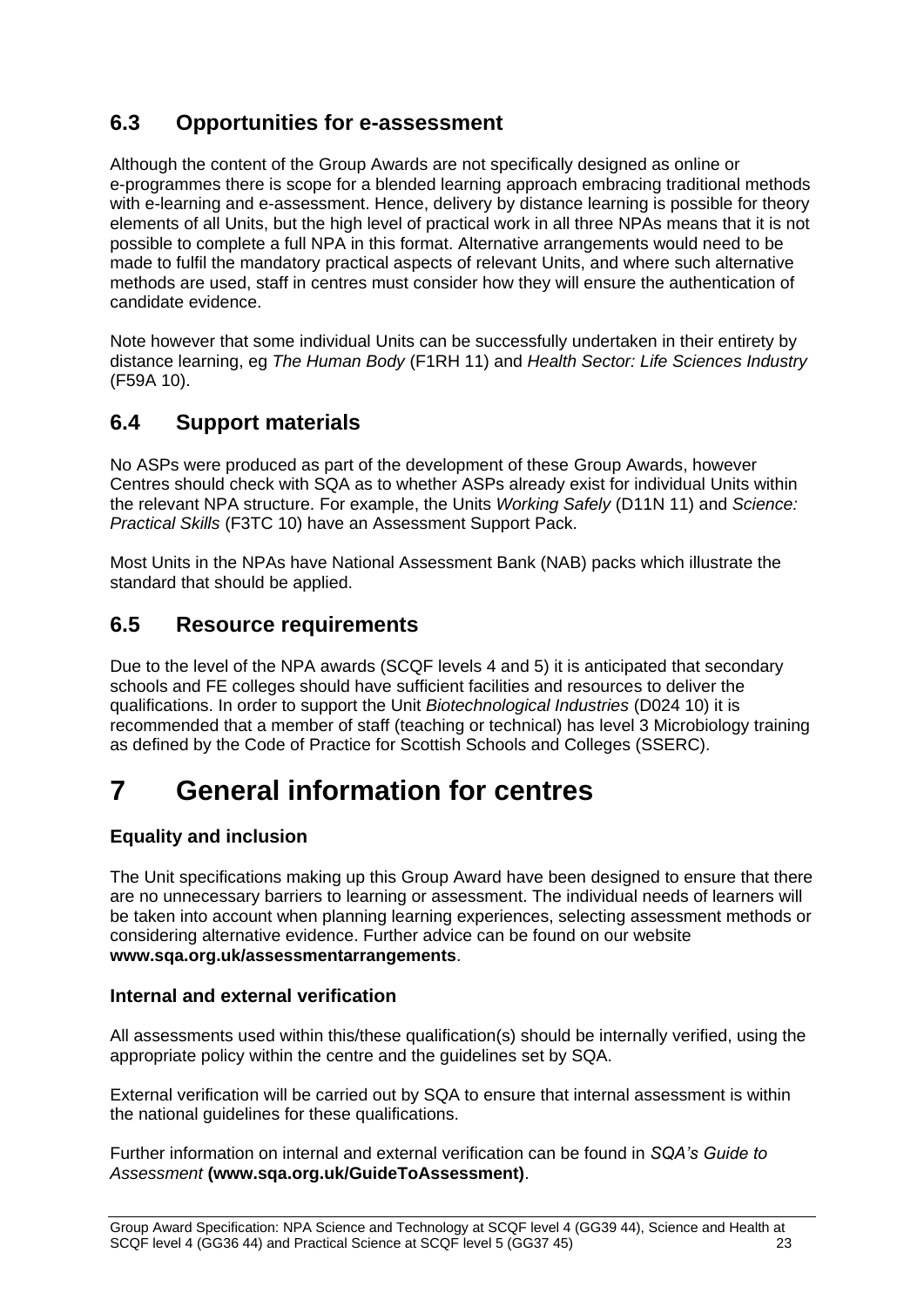# <span id="page-25-0"></span>**6.3 Opportunities for e-assessment**

Although the content of the Group Awards are not specifically designed as online or e-programmes there is scope for a blended learning approach embracing traditional methods with e-learning and e-assessment. Hence, delivery by distance learning is possible for theory elements of all Units, but the high level of practical work in all three NPAs means that it is not possible to complete a full NPA in this format. Alternative arrangements would need to be made to fulfil the mandatory practical aspects of relevant Units, and where such alternative methods are used, staff in centres must consider how they will ensure the authentication of candidate evidence.

Note however that some individual Units can be successfully undertaken in their entirety by distance learning, eg *The Human Body* (F1RH 11) and *Health Sector: Life Sciences Industry* (F59A 10).

## <span id="page-25-1"></span>**6.4 Support materials**

No ASPs were produced as part of the development of these Group Awards, however Centres should check with SQA as to whether ASPs already exist for individual Units within the relevant NPA structure. For example, the Units *Working Safely* (D11N 11) and *Science: Practical Skills* (F3TC 10) have an Assessment Support Pack.

Most Units in the NPAs have National Assessment Bank (NAB) packs which illustrate the standard that should be applied.

## <span id="page-25-2"></span>**6.5 Resource requirements**

Due to the level of the NPA awards (SCQF levels 4 and 5) it is anticipated that secondary schools and FE colleges should have sufficient facilities and resources to deliver the qualifications. In order to support the Unit *Biotechnological Industries* (D024 10) it is recommended that a member of staff (teaching or technical) has level 3 Microbiology training as defined by the Code of Practice for Scottish Schools and Colleges (SSERC).

# <span id="page-25-3"></span>**7 General information for centres**

### **Equality and inclusion**

The Unit specifications making up this Group Award have been designed to ensure that there are no unnecessary barriers to learning or assessment. The individual needs of learners will be taken into account when planning learning experiences, selecting assessment methods or considering alternative evidence. Further advice can be found on our website **[www.sqa.org.uk/assessmentarrangements](http://www.sqa.org.uk/sqa/14977.html)**.

### **Internal and external verification**

All assessments used within this/these qualification(s) should be internally verified, using the appropriate policy within the centre and the guidelines set by SQA.

External verification will be carried out by SQA to ensure that internal assessment is within the national guidelines for these qualifications.

Further information on internal and external verification can be found in *SQA's Guide to Assessment* **[\(www.sqa.org.uk/GuideToAssessment\)](http://www.sqa.org.uk/sqa/files_ccc/GuideToAssessment.pdf)**.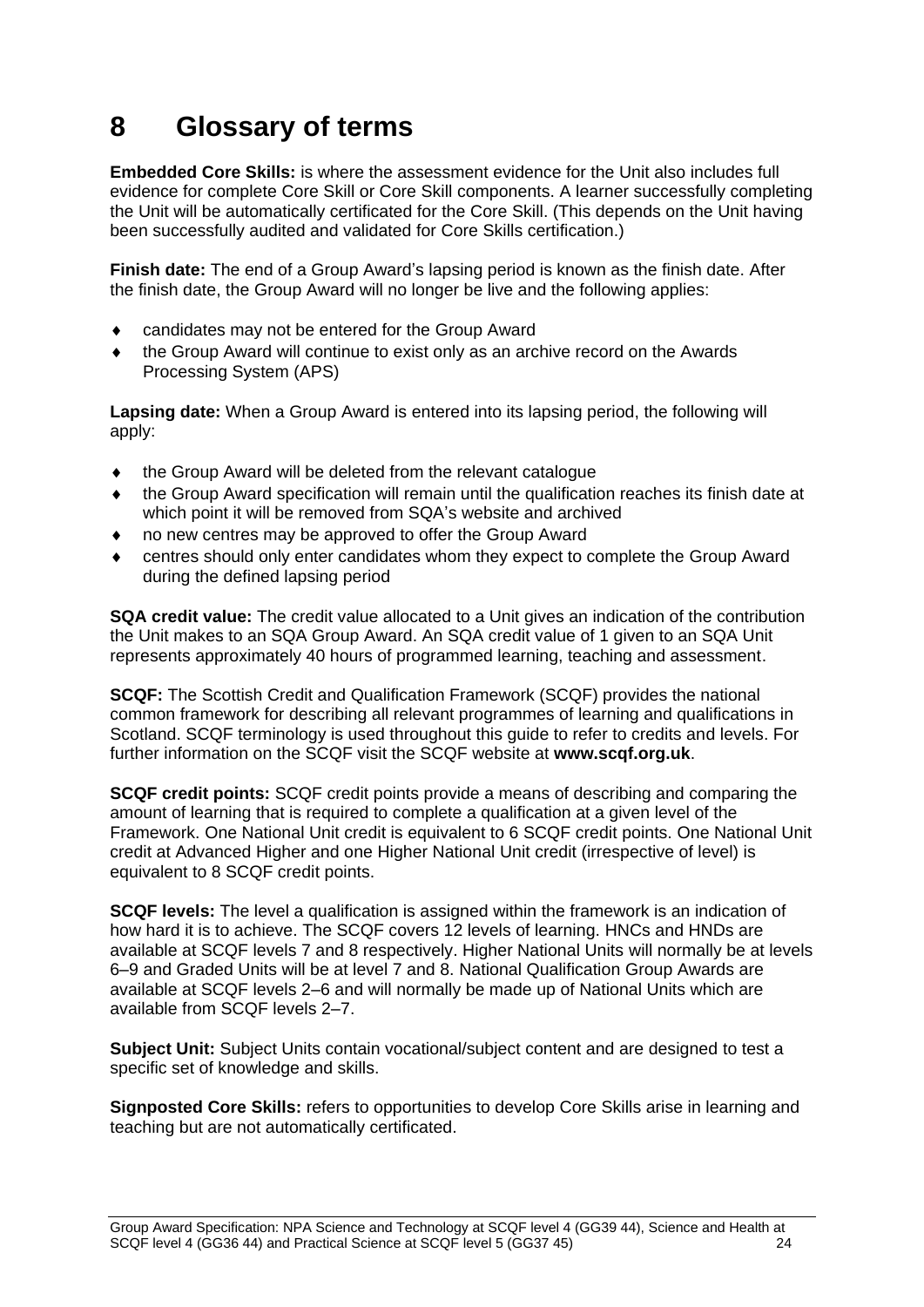# <span id="page-26-0"></span>**8 Glossary of terms**

**Embedded Core Skills:** is where the assessment evidence for the Unit also includes full evidence for complete Core Skill or Core Skill components. A learner successfully completing the Unit will be automatically certificated for the Core Skill. (This depends on the Unit having been successfully audited and validated for Core Skills certification.)

**Finish date:** The end of a Group Award's lapsing period is known as the finish date. After the finish date, the Group Award will no longer be live and the following applies:

- candidates may not be entered for the Group Award
- the Group Award will continue to exist only as an archive record on the Awards Processing System (APS)

**Lapsing date:** When a Group Award is entered into its lapsing period, the following will apply:

- the Group Award will be deleted from the relevant catalogue
- the Group Award specification will remain until the qualification reaches its finish date at which point it will be removed from SQA's website and archived
- no new centres may be approved to offer the Group Award
- centres should only enter candidates whom they expect to complete the Group Award during the defined lapsing period

**SQA credit value:** The credit value allocated to a Unit gives an indication of the contribution the Unit makes to an SQA Group Award. An SQA credit value of 1 given to an SQA Unit represents approximately 40 hours of programmed learning, teaching and assessment.

**SCQF:** The Scottish Credit and Qualification Framework (SCQF) provides the national common framework for describing all relevant programmes of learning and qualifications in Scotland. SCQF terminology is used throughout this guide to refer to credits and levels. For further information on the SCQF visit the SCQF website at **[www.scqf.org.uk](http://www.scqf.org.uk/)**.

**SCQF credit points:** SCQF credit points provide a means of describing and comparing the amount of learning that is required to complete a qualification at a given level of the Framework. One National Unit credit is equivalent to 6 SCQF credit points. One National Unit credit at Advanced Higher and one Higher National Unit credit (irrespective of level) is equivalent to 8 SCQF credit points.

**SCQF levels:** The level a qualification is assigned within the framework is an indication of how hard it is to achieve. The SCQF covers 12 levels of learning. HNCs and HNDs are available at SCQF levels 7 and 8 respectively. Higher National Units will normally be at levels 6–9 and Graded Units will be at level 7 and 8. National Qualification Group Awards are available at SCQF levels 2–6 and will normally be made up of National Units which are available from SCQF levels 2–7.

**Subject Unit:** Subject Units contain vocational/subject content and are designed to test a specific set of knowledge and skills.

**Signposted Core Skills:** refers to opportunities to develop Core Skills arise in learning and teaching but are not automatically certificated.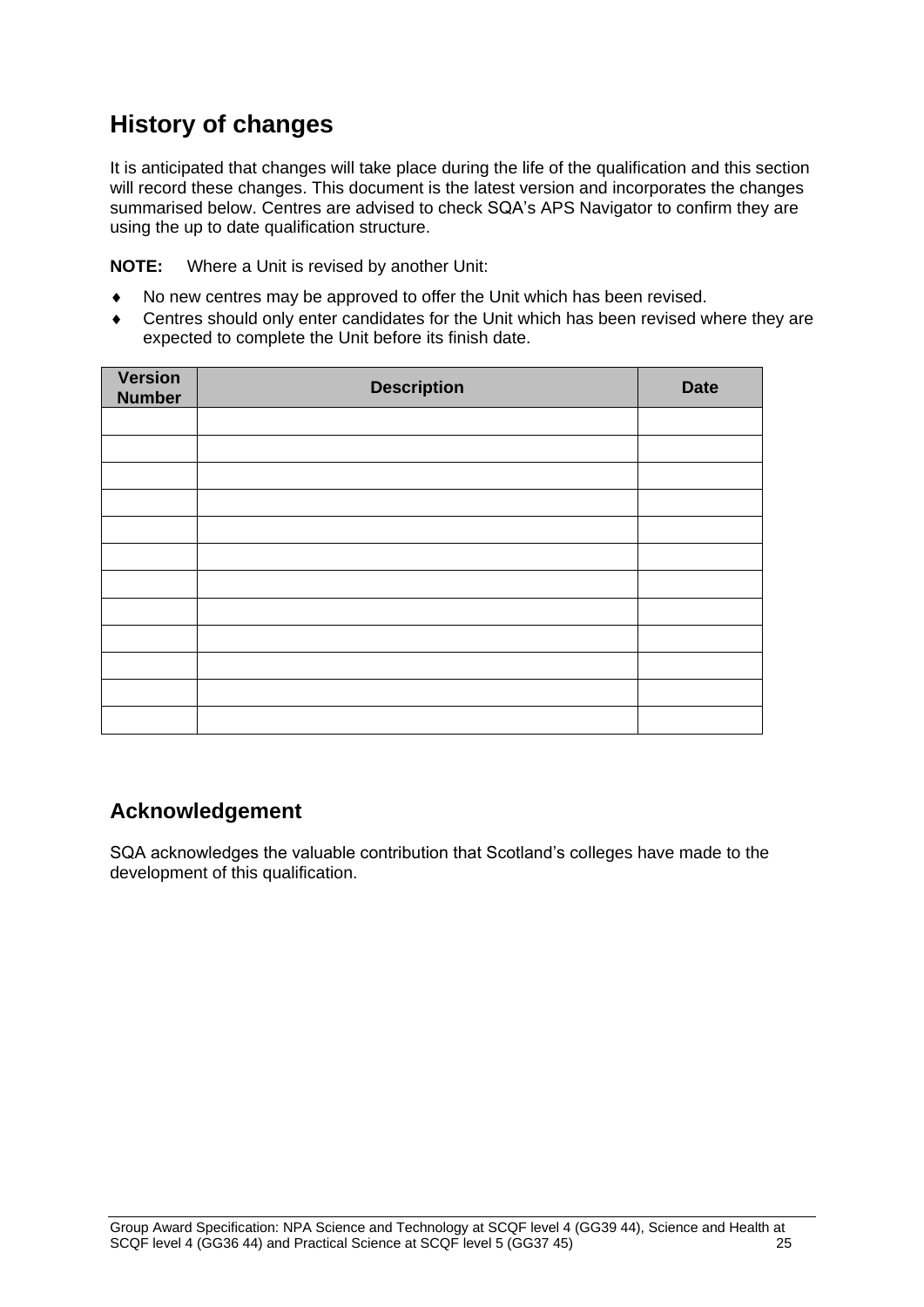# **History of changes**

It is anticipated that changes will take place during the life of the qualification and this section will record these changes. This document is the latest version and incorporates the changes summarised below. Centres are advised to check SQA's APS Navigator to confirm they are using the up to date qualification structure.

**NOTE:** Where a Unit is revised by another Unit:

- No new centres may be approved to offer the Unit which has been revised.
- Centres should only enter candidates for the Unit which has been revised where they are expected to complete the Unit before its finish date.

| Version<br><b>Number</b> | <b>Description</b> | <b>Date</b> |
|--------------------------|--------------------|-------------|
|                          |                    |             |
|                          |                    |             |
|                          |                    |             |
|                          |                    |             |
|                          |                    |             |
|                          |                    |             |
|                          |                    |             |
|                          |                    |             |
|                          |                    |             |
|                          |                    |             |
|                          |                    |             |
|                          |                    |             |

## **Acknowledgement**

SQA acknowledges the valuable contribution that Scotland's colleges have made to the development of this qualification.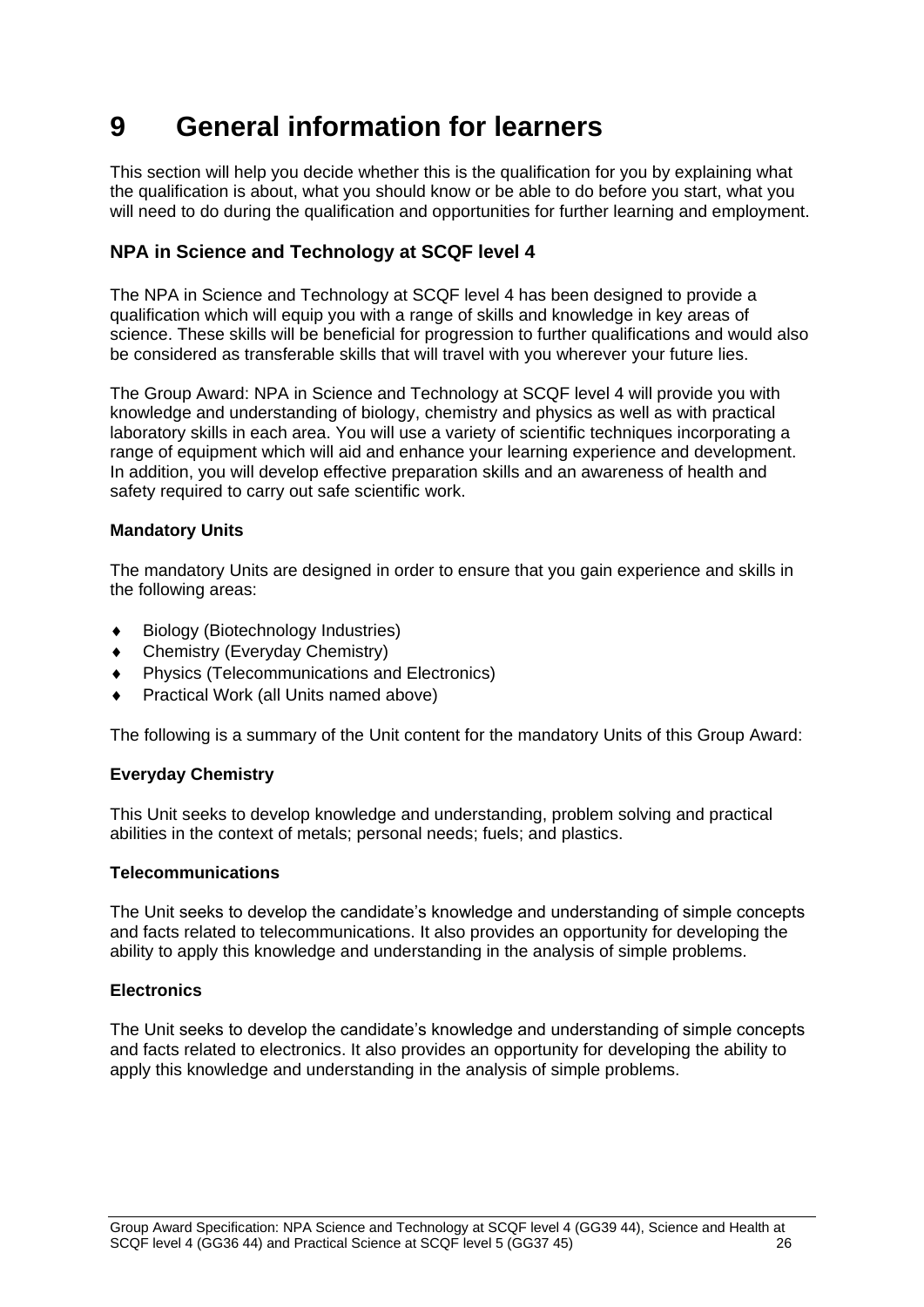# <span id="page-28-0"></span>**9 General information for learners**

This section will help you decide whether this is the qualification for you by explaining what the qualification is about, what you should know or be able to do before you start, what you will need to do during the qualification and opportunities for further learning and employment.

### **NPA in Science and Technology at SCQF level 4**

The NPA in Science and Technology at SCQF level 4 has been designed to provide a qualification which will equip you with a range of skills and knowledge in key areas of science. These skills will be beneficial for progression to further qualifications and would also be considered as transferable skills that will travel with you wherever your future lies.

The Group Award: NPA in Science and Technology at SCQF level 4 will provide you with knowledge and understanding of biology, chemistry and physics as well as with practical laboratory skills in each area. You will use a variety of scientific techniques incorporating a range of equipment which will aid and enhance your learning experience and development. In addition, you will develop effective preparation skills and an awareness of health and safety required to carry out safe scientific work.

### **Mandatory Units**

The mandatory Units are designed in order to ensure that you gain experience and skills in the following areas:

- Biology (Biotechnology Industries)
- Chemistry (Everyday Chemistry)
- Physics (Telecommunications and Electronics)
- Practical Work (all Units named above)

The following is a summary of the Unit content for the mandatory Units of this Group Award:

### **Everyday Chemistry**

This Unit seeks to develop knowledge and understanding, problem solving and practical abilities in the context of metals; personal needs; fuels; and plastics.

#### **Telecommunications**

The Unit seeks to develop the candidate's knowledge and understanding of simple concepts and facts related to telecommunications. It also provides an opportunity for developing the ability to apply this knowledge and understanding in the analysis of simple problems.

#### **Electronics**

The Unit seeks to develop the candidate's knowledge and understanding of simple concepts and facts related to electronics. It also provides an opportunity for developing the ability to apply this knowledge and understanding in the analysis of simple problems.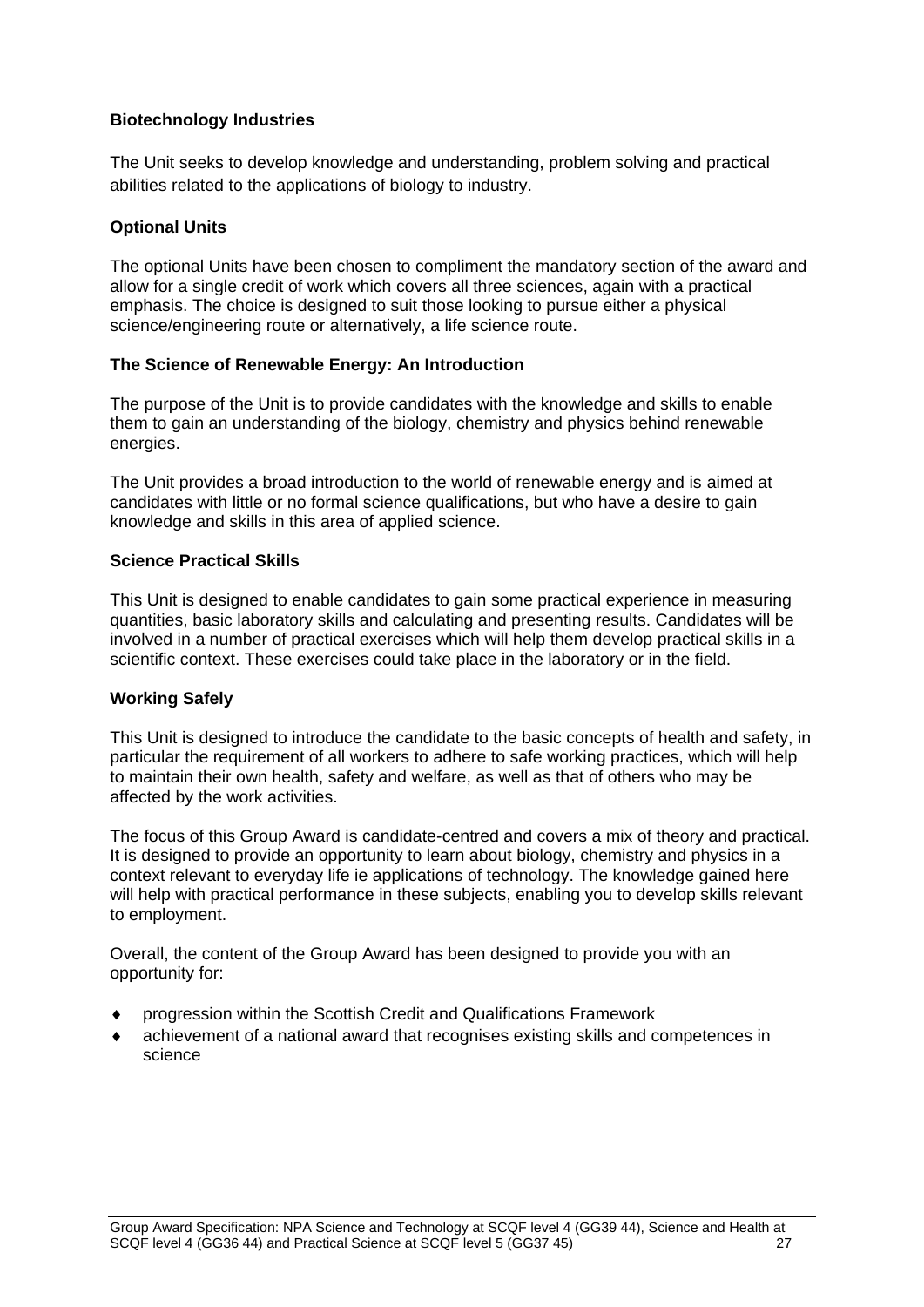### **Biotechnology Industries**

The Unit seeks to develop knowledge and understanding, problem solving and practical abilities related to the applications of biology to industry.

### **Optional Units**

The optional Units have been chosen to compliment the mandatory section of the award and allow for a single credit of work which covers all three sciences, again with a practical emphasis. The choice is designed to suit those looking to pursue either a physical science/engineering route or alternatively, a life science route.

#### **The Science of Renewable Energy: An Introduction**

The purpose of the Unit is to provide candidates with the knowledge and skills to enable them to gain an understanding of the biology, chemistry and physics behind renewable energies.

The Unit provides a broad introduction to the world of renewable energy and is aimed at candidates with little or no formal science qualifications, but who have a desire to gain knowledge and skills in this area of applied science.

#### **Science Practical Skills**

This Unit is designed to enable candidates to gain some practical experience in measuring quantities, basic laboratory skills and calculating and presenting results. Candidates will be involved in a number of practical exercises which will help them develop practical skills in a scientific context. These exercises could take place in the laboratory or in the field.

#### **Working Safely**

This Unit is designed to introduce the candidate to the basic concepts of health and safety, in particular the requirement of all workers to adhere to safe working practices, which will help to maintain their own health, safety and welfare, as well as that of others who may be affected by the work activities.

The focus of this Group Award is candidate-centred and covers a mix of theory and practical. It is designed to provide an opportunity to learn about biology, chemistry and physics in a context relevant to everyday life ie applications of technology. The knowledge gained here will help with practical performance in these subjects, enabling you to develop skills relevant to employment.

Overall, the content of the Group Award has been designed to provide you with an opportunity for:

- progression within the Scottish Credit and Qualifications Framework
- achievement of a national award that recognises existing skills and competences in science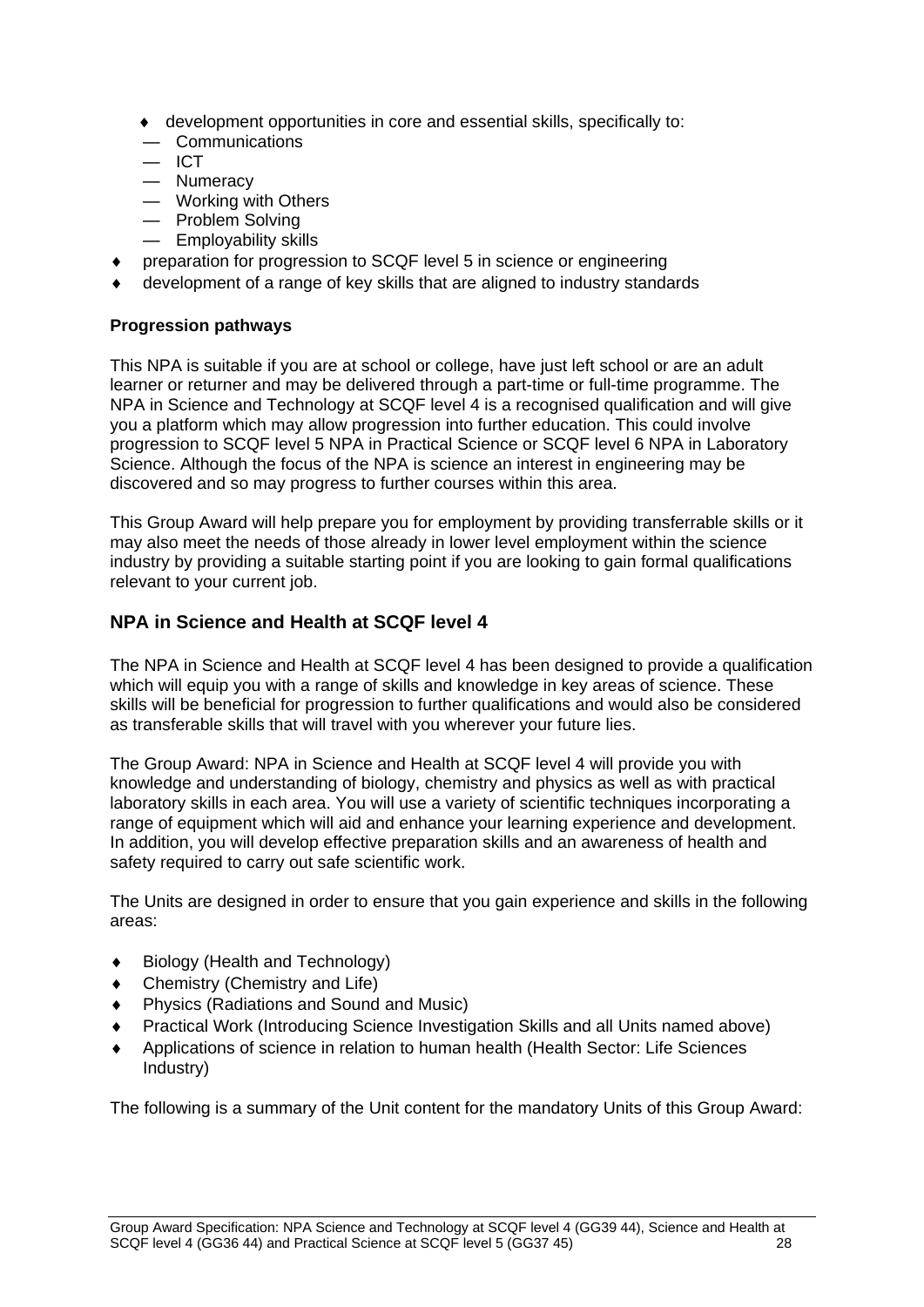- development opportunities in core and essential skills, specifically to:
- Communications
- ICT
- Numeracy
- Working with Others
- Problem Solving
- Employability skills
- preparation for progression to SCQF level 5 in science or engineering
- development of a range of key skills that are aligned to industry standards

### <span id="page-30-0"></span>**Progression pathways**

This NPA is suitable if you are at school or college, have just left school or are an adult learner or returner and may be delivered through a part-time or full-time programme. The NPA in Science and Technology at SCQF level 4 is a recognised qualification and will give you a platform which may allow progression into further education. This could involve progression to SCQF level 5 NPA in Practical Science or SCQF level 6 NPA in Laboratory Science. Although the focus of the NPA is science an interest in engineering may be discovered and so may progress to further courses within this area.

This Group Award will help prepare you for employment by providing transferrable skills or it may also meet the needs of those already in lower level employment within the science industry by providing a suitable starting point if you are looking to gain formal qualifications relevant to your current job.

### **NPA in Science and Health at SCQF level 4**

The NPA in Science and Health at SCQF level 4 has been designed to provide a qualification which will equip you with a range of skills and knowledge in key areas of science. These skills will be beneficial for progression to further qualifications and would also be considered as transferable skills that will travel with you wherever your future lies.

The Group Award: NPA in Science and Health at SCQF level 4 will provide you with knowledge and understanding of biology, chemistry and physics as well as with practical laboratory skills in each area. You will use a variety of scientific techniques incorporating a range of equipment which will aid and enhance your learning experience and development. In addition, you will develop effective preparation skills and an awareness of health and safety required to carry out safe scientific work.

The Units are designed in order to ensure that you gain experience and skills in the following areas:

- Biology (Health and Technology)
- Chemistry (Chemistry and Life)
- Physics (Radiations and Sound and Music)
- Practical Work (Introducing Science Investigation Skills and all Units named above)
- Applications of science in relation to human health (Health Sector: Life Sciences Industry)

The following is a summary of the Unit content for the mandatory Units of this Group Award: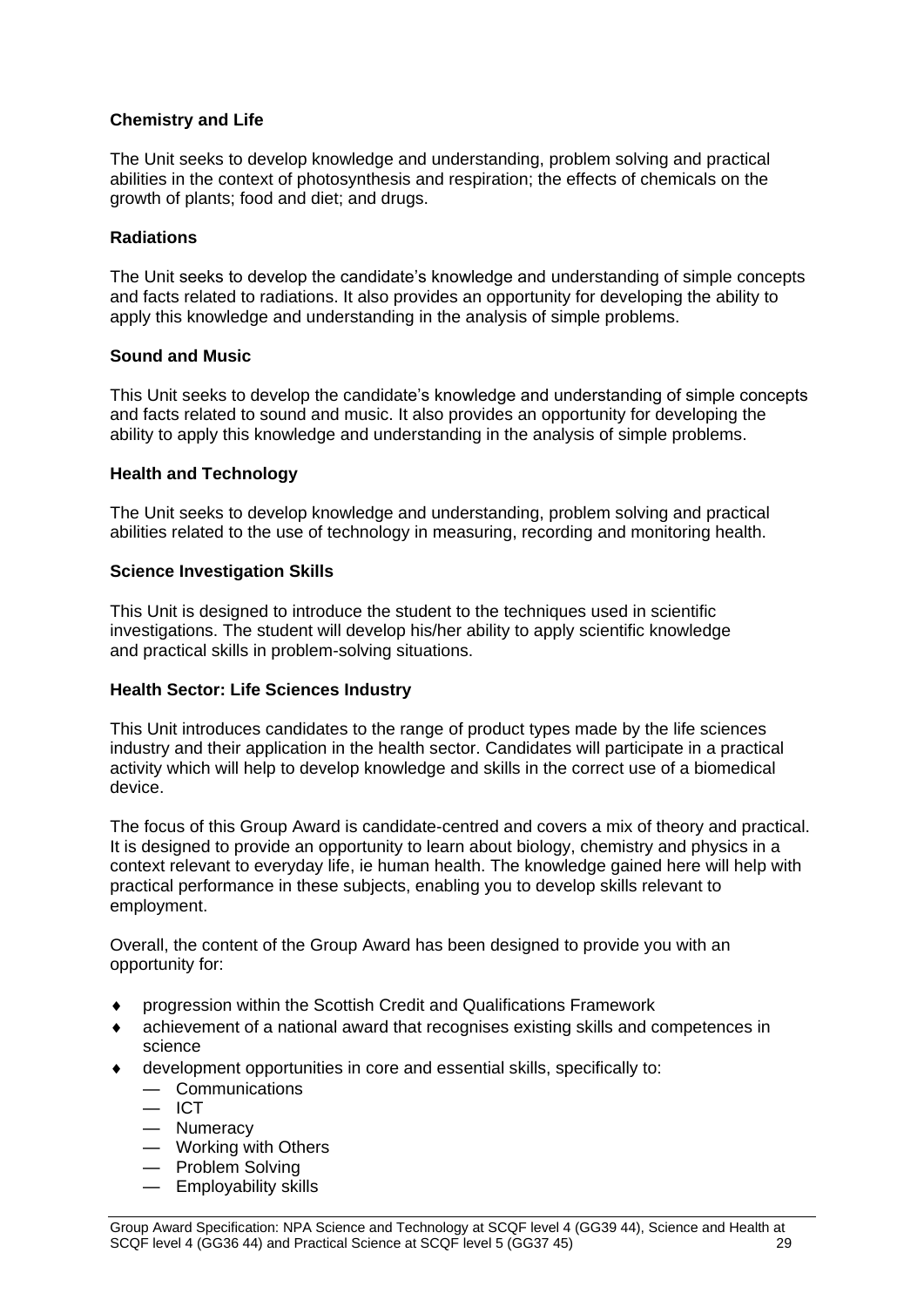### **Chemistry and Life**

The Unit seeks to develop knowledge and understanding, problem solving and practical abilities in the context of photosynthesis and respiration; the effects of chemicals on the growth of plants; food and diet; and drugs.

#### **Radiations**

The Unit seeks to develop the candidate's knowledge and understanding of simple concepts and facts related to radiations. It also provides an opportunity for developing the ability to apply this knowledge and understanding in the analysis of simple problems.

#### **Sound and Music**

This Unit seeks to develop the candidate's knowledge and understanding of simple concepts and facts related to sound and music. It also provides an opportunity for developing the ability to apply this knowledge and understanding in the analysis of simple problems.

#### **Health and Technology**

The Unit seeks to develop knowledge and understanding, problem solving and practical abilities related to the use of technology in measuring, recording and monitoring health.

#### **Science Investigation Skills**

This Unit is designed to introduce the student to the techniques used in scientific investigations. The student will develop his/her ability to apply scientific knowledge and practical skills in problem-solving situations.

#### **Health Sector: Life Sciences Industry**

This Unit introduces candidates to the range of product types made by the life sciences industry and their application in the health sector. Candidates will participate in a practical activity which will help to develop knowledge and skills in the correct use of a biomedical device.

The focus of this Group Award is candidate-centred and covers a mix of theory and practical. It is designed to provide an opportunity to learn about biology, chemistry and physics in a context relevant to everyday life, ie human health. The knowledge gained here will help with practical performance in these subjects, enabling you to develop skills relevant to employment.

Overall, the content of the Group Award has been designed to provide you with an opportunity for:

- progression within the Scottish Credit and Qualifications Framework
- achievement of a national award that recognises existing skills and competences in science
- development opportunities in core and essential skills, specifically to:
	- Communications
	- $-$  ICT
	- Numeracy
	- Working with Others
	- Problem Solving
	- Employability skills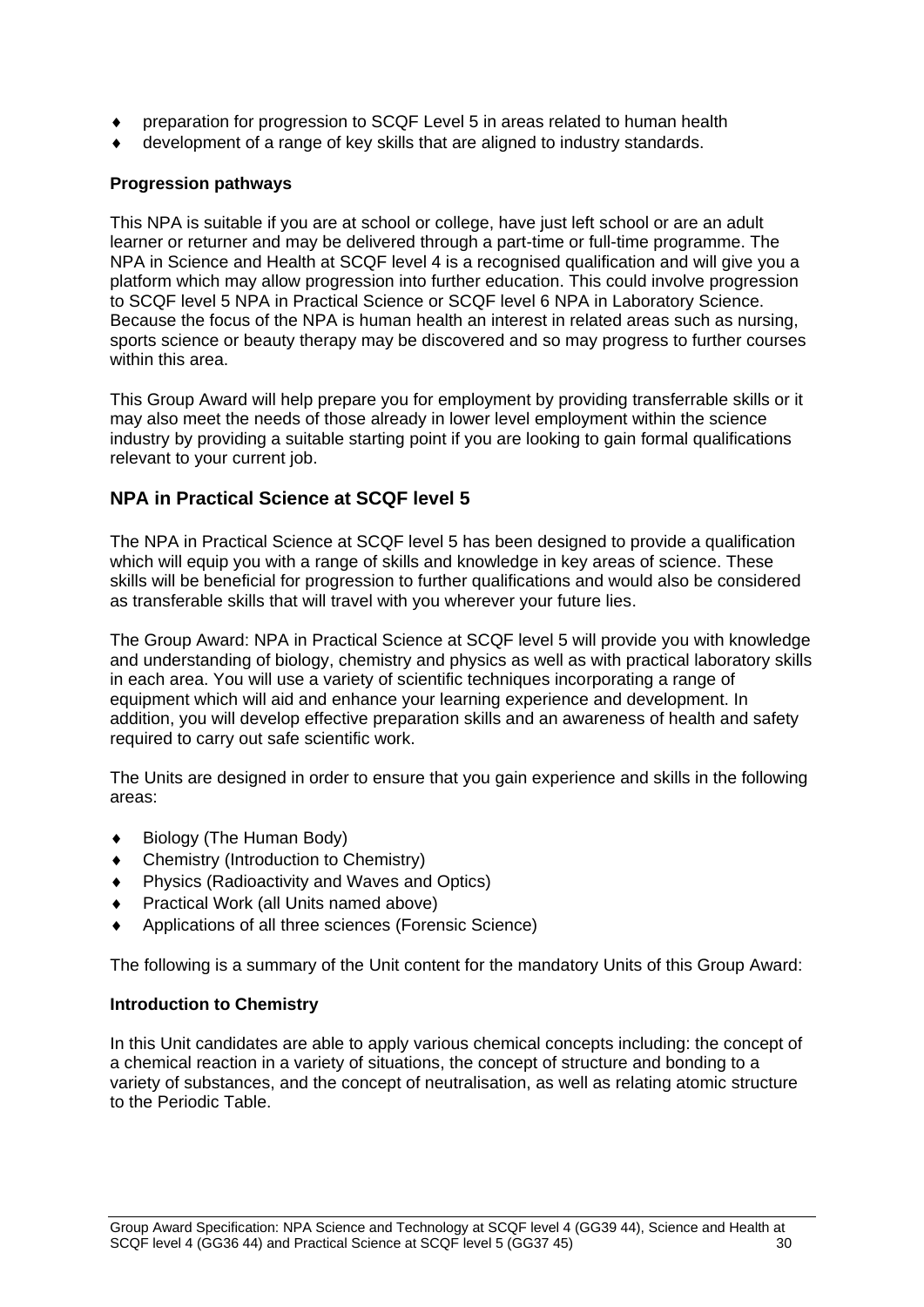- preparation for progression to SCQF Level 5 in areas related to human health
- development of a range of key skills that are aligned to industry standards.

### **Progression pathways**

This NPA is suitable if you are at school or college, have just left school or are an adult learner or returner and may be delivered through a part-time or full-time programme. The NPA in Science and Health at SCQF level 4 is a recognised qualification and will give you a platform which may allow progression into further education. This could involve progression to SCQF level 5 NPA in Practical Science or SCQF level 6 NPA in Laboratory Science. Because the focus of the NPA is human health an interest in related areas such as nursing, sports science or beauty therapy may be discovered and so may progress to further courses within this area.

This Group Award will help prepare you for employment by providing transferrable skills or it may also meet the needs of those already in lower level employment within the science industry by providing a suitable starting point if you are looking to gain formal qualifications relevant to your current job.

### **NPA in Practical Science at SCQF level 5**

The NPA in Practical Science at SCQF level 5 has been designed to provide a qualification which will equip you with a range of skills and knowledge in key areas of science. These skills will be beneficial for progression to further qualifications and would also be considered as transferable skills that will travel with you wherever your future lies.

The Group Award: NPA in Practical Science at SCQF level 5 will provide you with knowledge and understanding of biology, chemistry and physics as well as with practical laboratory skills in each area. You will use a variety of scientific techniques incorporating a range of equipment which will aid and enhance your learning experience and development. In addition, you will develop effective preparation skills and an awareness of health and safety required to carry out safe scientific work.

The Units are designed in order to ensure that you gain experience and skills in the following areas:

- ◆ Biology (The Human Body)
- Chemistry (Introduction to Chemistry)
- ◆ Physics (Radioactivity and Waves and Optics)
- Practical Work (all Units named above)
- Applications of all three sciences (Forensic Science)

The following is a summary of the Unit content for the mandatory Units of this Group Award:

#### **Introduction to Chemistry**

In this Unit candidates are able to apply various chemical concepts including: the concept of a chemical reaction in a variety of situations, the concept of structure and bonding to a variety of substances, and the concept of neutralisation, as well as relating atomic structure to the Periodic Table.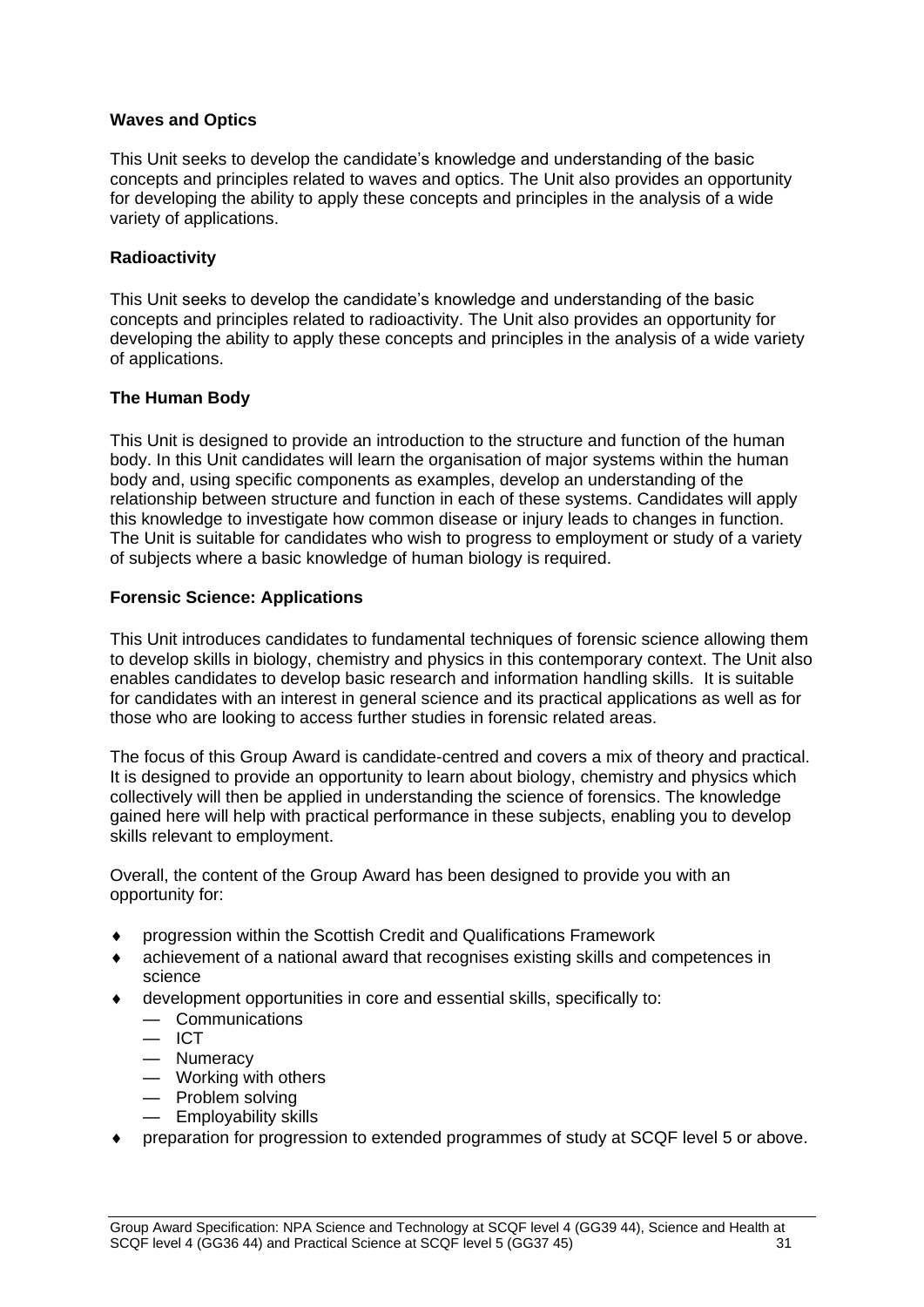### **Waves and Optics**

This Unit seeks to develop the candidate's knowledge and understanding of the basic concepts and principles related to waves and optics. The Unit also provides an opportunity for developing the ability to apply these concepts and principles in the analysis of a wide variety of applications.

### **Radioactivity**

This Unit seeks to develop the candidate's knowledge and understanding of the basic concepts and principles related to radioactivity. The Unit also provides an opportunity for developing the ability to apply these concepts and principles in the analysis of a wide variety of applications.

### **The Human Body**

This Unit is designed to provide an introduction to the structure and function of the human body. In this Unit candidates will learn the organisation of major systems within the human body and, using specific components as examples, develop an understanding of the relationship between structure and function in each of these systems. Candidates will apply this knowledge to investigate how common disease or injury leads to changes in function. The Unit is suitable for candidates who wish to progress to employment or study of a variety of subjects where a basic knowledge of human biology is required.

### **Forensic Science: Applications**

This Unit introduces candidates to fundamental techniques of forensic science allowing them to develop skills in biology, chemistry and physics in this contemporary context. The Unit also enables candidates to develop basic research and information handling skills. It is suitable for candidates with an interest in general science and its practical applications as well as for those who are looking to access further studies in forensic related areas.

The focus of this Group Award is candidate-centred and covers a mix of theory and practical. It is designed to provide an opportunity to learn about biology, chemistry and physics which collectively will then be applied in understanding the science of forensics. The knowledge gained here will help with practical performance in these subjects, enabling you to develop skills relevant to employment.

Overall, the content of the Group Award has been designed to provide you with an opportunity for:

- progression within the Scottish Credit and Qualifications Framework
- achievement of a national award that recognises existing skills and competences in science
- development opportunities in core and essential skills, specifically to:
	- Communications
	- $-$  ICT
	- Numeracy
	- Working with others
	- Problem solving
	- Employability skills
- preparation for progression to extended programmes of study at SCQF level 5 or above.